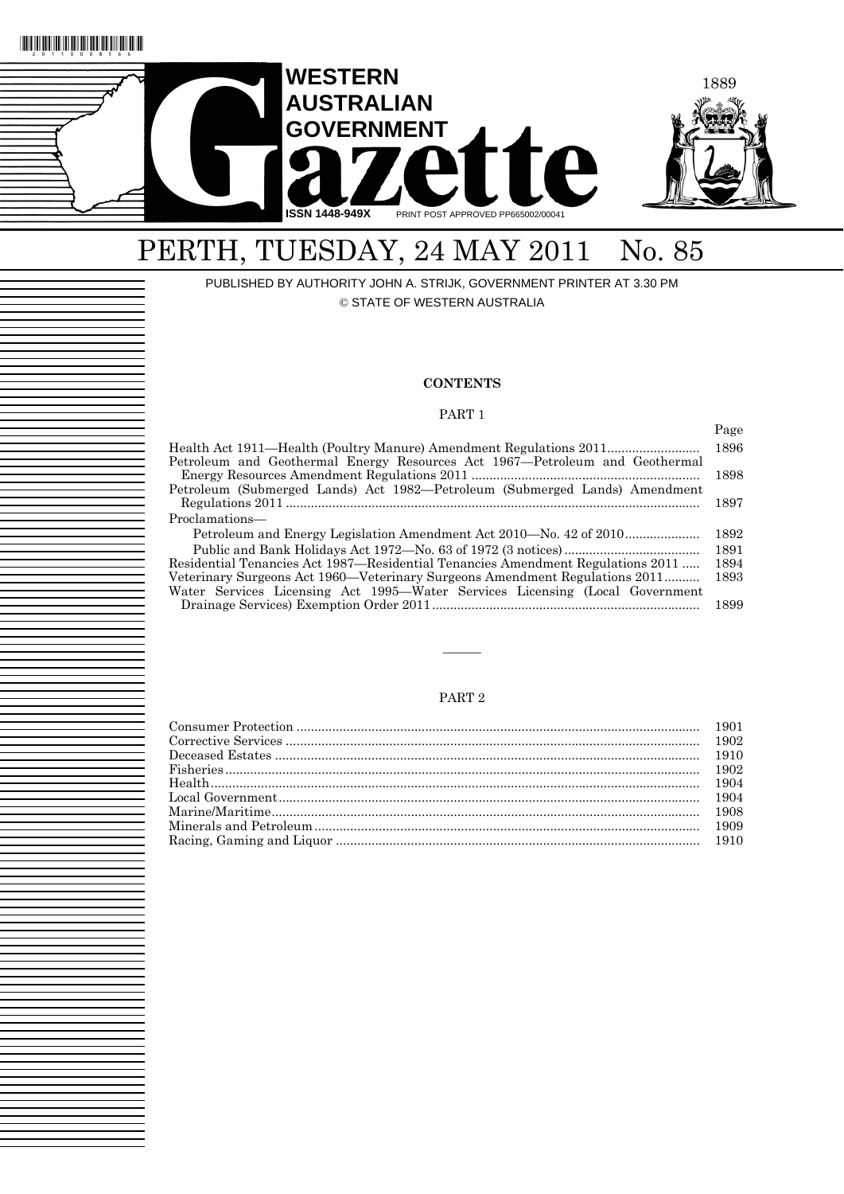

# PERTH, TUESDAY, 24 MAY 2011 No. 85

PUBLISHED BY AUTHORITY JOHN A. STRIJK, GOVERNMENT PRINTER AT 3.30 PM © STATE OF WESTERN AUSTRALIA

### **CONTENTS**

### PART 1

|                                                                                 | Page |
|---------------------------------------------------------------------------------|------|
| Health Act 1911—Health (Poultry Manure) Amendment Regulations 2011              | 1896 |
| Petroleum and Geothermal Energy Resources Act 1967—Petroleum and Geothermal     |      |
|                                                                                 | 1898 |
| Petroleum (Submerged Lands) Act 1982—Petroleum (Submerged Lands) Amendment      |      |
|                                                                                 | 1897 |
| Proclamations—                                                                  |      |
| Petroleum and Energy Legislation Amendment Act 2010—No. 42 of 2010              | 1892 |
|                                                                                 | 1891 |
| Residential Tenancies Act 1987—Residential Tenancies Amendment Regulations 2011 | 1894 |
| Veterinary Surgeons Act 1960—Veterinary Surgeons Amendment Regulations 2011     | 1893 |
| Water Services Licensing Act 1995—Water Services Licensing (Local Government    |      |
|                                                                                 | 1899 |

### PART 2

———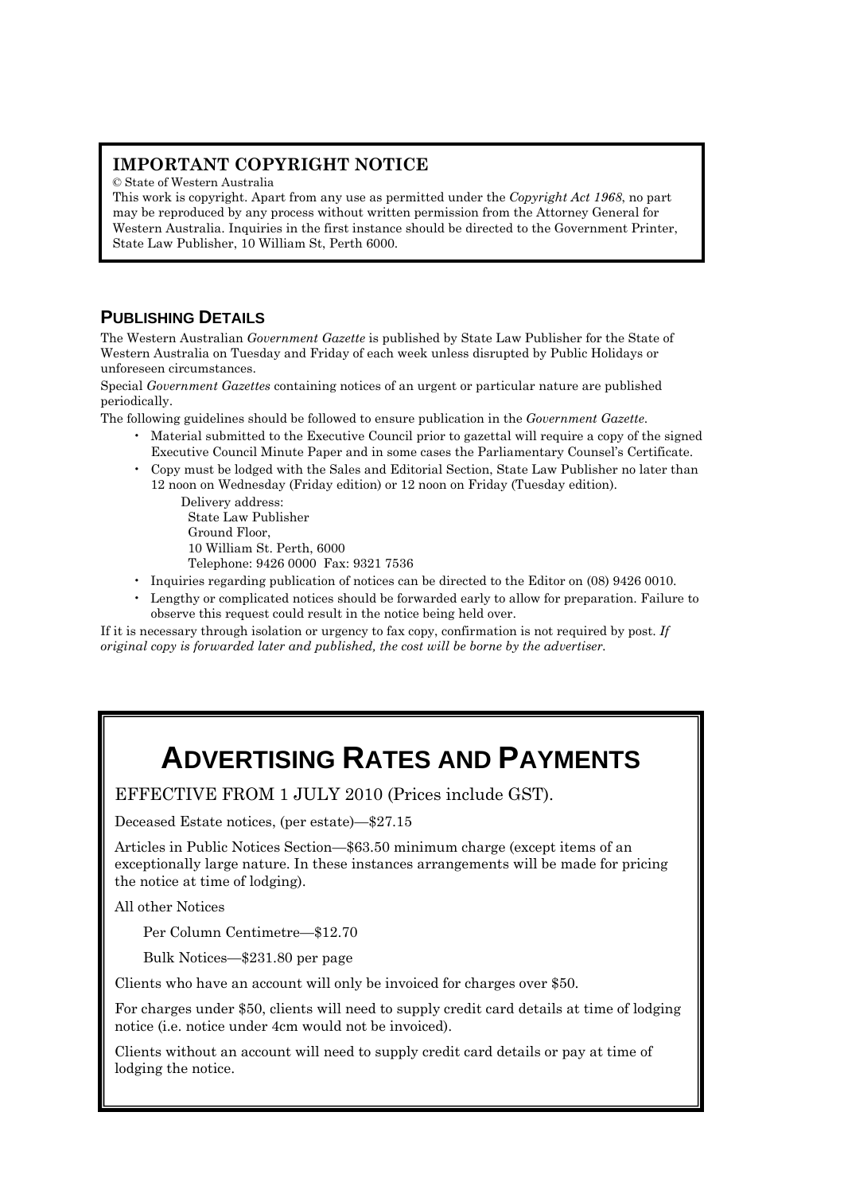# **IMPORTANT COPYRIGHT NOTICE**

© State of Western Australia

This work is copyright. Apart from any use as permitted under the *Copyright Act 1968*, no part may be reproduced by any process without written permission from the Attorney General for Western Australia. Inquiries in the first instance should be directed to the Government Printer, State Law Publisher, 10 William St, Perth 6000.

# **PUBLISHING DETAILS**

The Western Australian *Government Gazette* is published by State Law Publisher for the State of Western Australia on Tuesday and Friday of each week unless disrupted by Public Holidays or unforeseen circumstances.

Special *Government Gazettes* containing notices of an urgent or particular nature are published periodically.

The following guidelines should be followed to ensure publication in the *Government Gazette*.

- Material submitted to the Executive Council prior to gazettal will require a copy of the signed Executive Council Minute Paper and in some cases the Parliamentary Counsel's Certificate.
- Copy must be lodged with the Sales and Editorial Section, State Law Publisher no later than 12 noon on Wednesday (Friday edition) or 12 noon on Friday (Tuesday edition).

Delivery address: State Law Publisher Ground Floor, 10 William St. Perth, 6000 Telephone: 9426 0000 Fax: 9321 7536

- Inquiries regarding publication of notices can be directed to the Editor on (08) 9426 0010.
- Lengthy or complicated notices should be forwarded early to allow for preparation. Failure to observe this request could result in the notice being held over.

If it is necessary through isolation or urgency to fax copy, confirmation is not required by post. *If original copy is forwarded later and published, the cost will be borne by the advertiser.* 

# **ADVERTISING RATES AND PAYMENTS**

EFFECTIVE FROM 1 JULY 2010 (Prices include GST).

Deceased Estate notices, (per estate)—\$27.15

Articles in Public Notices Section—\$63.50 minimum charge (except items of an exceptionally large nature. In these instances arrangements will be made for pricing the notice at time of lodging).

All other Notices

Per Column Centimetre—\$12.70

Bulk Notices—\$231.80 per page

Clients who have an account will only be invoiced for charges over \$50.

For charges under \$50, clients will need to supply credit card details at time of lodging notice (i.e. notice under 4cm would not be invoiced).

Clients without an account will need to supply credit card details or pay at time of lodging the notice.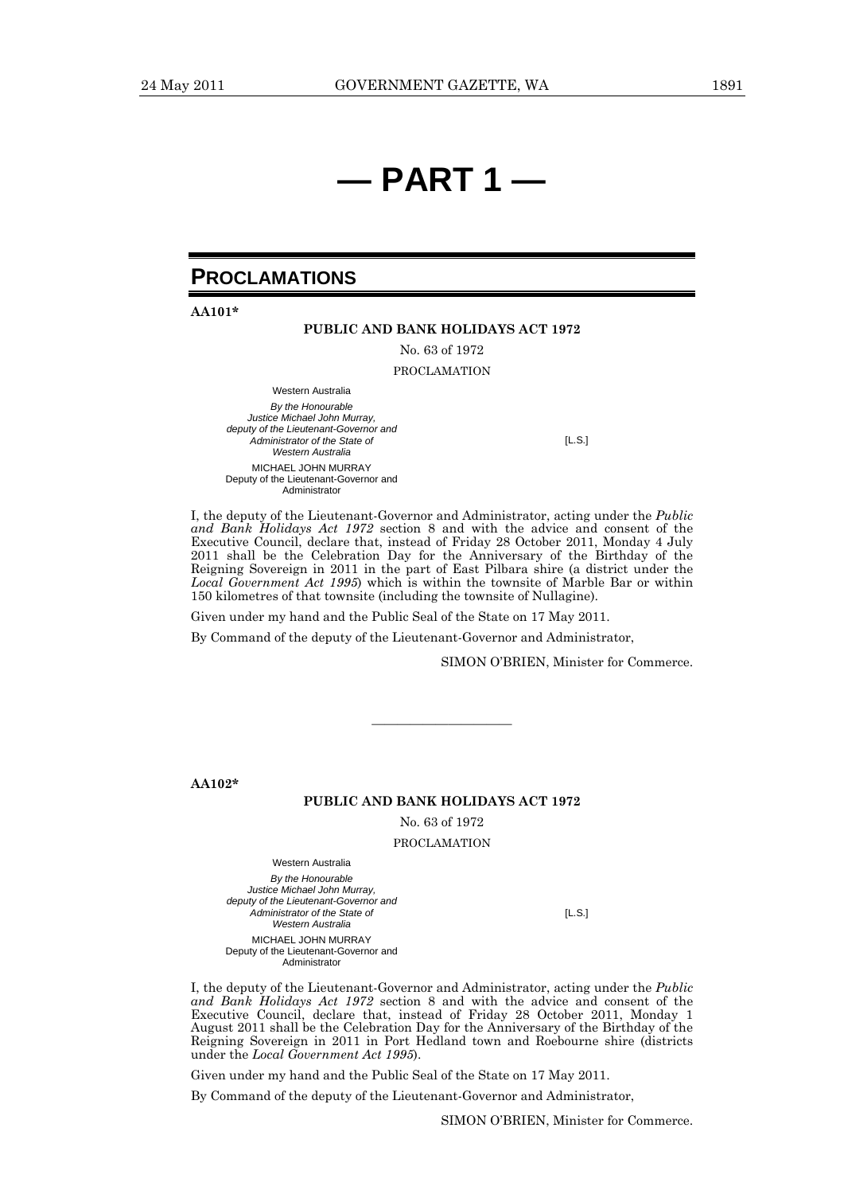# **— PART 1 —**

# **PROCLAMATIONS**

**AA101\*** 

### **PUBLIC AND BANK HOLIDAYS ACT 1972**

No. 63 of 1972

PROCLAMATION

Western Australia *By the Honourable Justice Michael John Murray, deputy of the Lieutenant-Governor and Administrator of the State of Western Australia* MICHAEL JOHN MURRAY Deputy of the Lieutenant-Governor and Administrator

[L.S.]

I, the deputy of the Lieutenant-Governor and Administrator, acting under the *Public and Bank Holidays Act 1972* section 8 and with the advice and consent of the Executive Council, declare that, instead of Friday 28 October 2011, Monday 4 July 2011 shall be the Celebration Day for the Anniversary of the Birthday of the Reigning Sovereign in 2011 in the part of East Pilbara shire (a district under the *Local Government Act 1995*) which is within the townsite of Marble Bar or within 150 kilometres of that townsite (including the townsite of Nullagine).

Given under my hand and the Public Seal of the State on 17 May 2011.

By Command of the deputy of the Lieutenant-Governor and Administrator,

SIMON O'BRIEN, Minister for Commerce.

**AA102\*** 

### **PUBLIC AND BANK HOLIDAYS ACT 1972**

————————————————————

No. 63 of 1972

PROCLAMATION

Western Australia

*By the Honourable Justice Michael John Murray, deputy of the Lieutenant-Governor and Administrator of the State of Western Australia* MICHAEL JOHN MURRAY Deputy of the Lieutenant-Governor and **Administrator** 

[L.S.]

I, the deputy of the Lieutenant-Governor and Administrator, acting under the *Public and Bank Holidays Act 1972* section 8 and with the advice and consent of the Executive Council, declare that, instead of Friday 28 October 2011, Monday 1 August 2011 shall be the Celebration Day for the Anniversary of the Birthday of the Reigning Sovereign in 2011 in Port Hedland town and Roebourne shire (districts under the *Local Government Act 1995*).

Given under my hand and the Public Seal of the State on 17 May 2011.

By Command of the deputy of the Lieutenant-Governor and Administrator,

SIMON O'BRIEN, Minister for Commerce.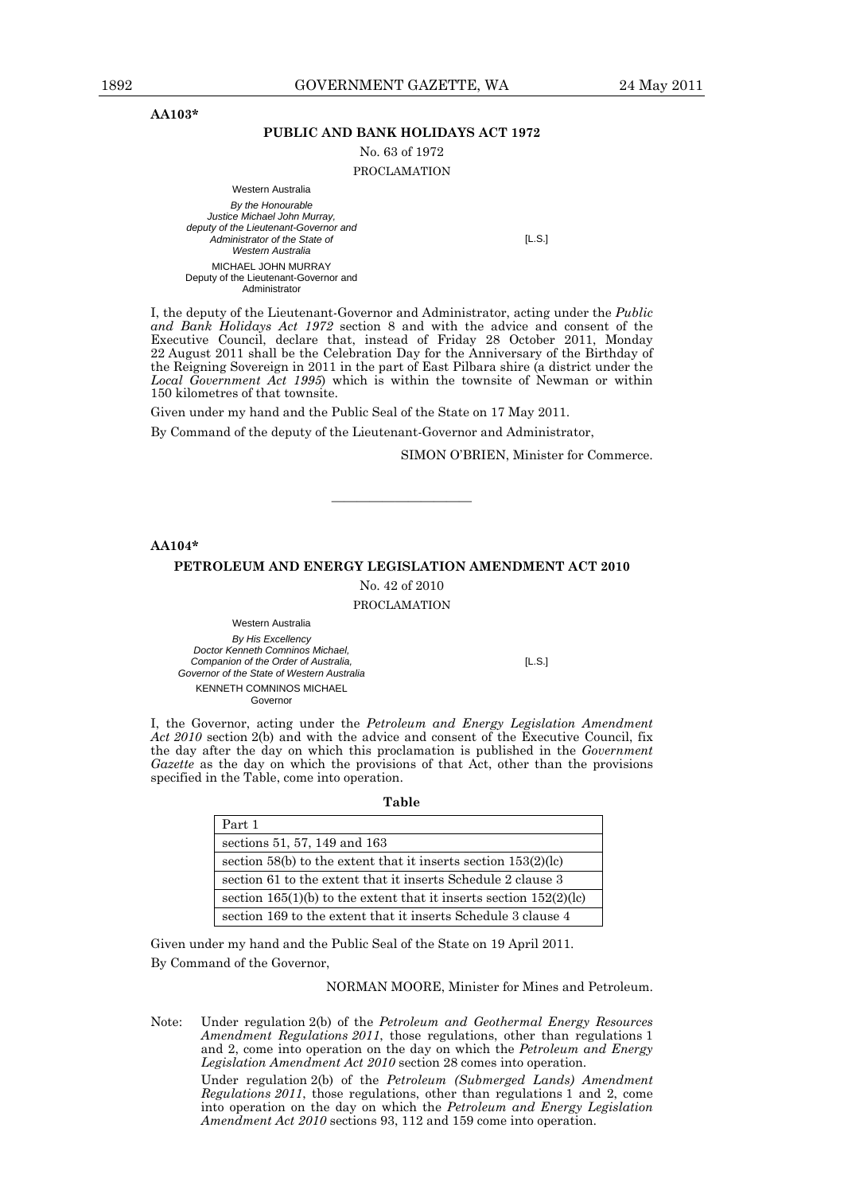**AA103\*** 

### **PUBLIC AND BANK HOLIDAYS ACT 1972**

No. 63 of 1972

PROCLAMATION

Western Australia *By the Honourable Justice Michael John Murray, deputy of the Lieutenant-Governor and Administrator of the State of Western Australia* MICHAEL JOHN MURRAY Deputy of the Lieutenant-Governor and Administrator

[L.S.]

I, the deputy of the Lieutenant-Governor and Administrator, acting under the *Public and Bank Holidays Act 1972* section 8 and with the advice and consent of the Executive Council, declare that, instead of Friday 28 October 2011, Monday 22 August 2011 shall be the Celebration Day for the Anniversary of the Birthday of the Reigning Sovereign in 2011 in the part of East Pilbara shire (a district under the *Local Government Act 1995*) which is within the townsite of Newman or within 150 kilometres of that townsite.

Given under my hand and the Public Seal of the State on 17 May 2011.

By Command of the deputy of the Lieutenant-Governor and Administrator,

SIMON O'BRIEN, Minister for Commerce.

**AA104\*** 

### **PETROLEUM AND ENERGY LEGISLATION AMENDMENT ACT 2010**

————————————————————

No. 42 of 2010 PROCLAMATION

Western Australia *By His Excellency Doctor Kenneth Comninos Michael, Companion of the Order of Australia, Governor of the State of Western Australia*  KENNETH COMNINOS MICHAEL **Governor** 

[L.S.]

I, the Governor, acting under the *Petroleum and Energy Legislation Amendment Act 2010* section 2(b) and with the advice and consent of the Executive Council, fix the day after the day on which this proclamation is published in the *Government Gazette* as the day on which the provisions of that Act, other than the provisions specified in the Table, come into operation.

**Table** 

| Part 1                                                                 |
|------------------------------------------------------------------------|
| sections 51, 57, 149 and 163                                           |
| section $58(b)$ to the extent that it inserts section $153(2)(lc)$     |
| section 61 to the extent that it inserts Schedule 2 clause 3           |
| section $165(1)(b)$ to the extent that it inserts section $152(2)(lc)$ |
| section 169 to the extent that it inserts Schedule 3 clause 4          |

Given under my hand and the Public Seal of the State on 19 April 2011. By Command of the Governor,

NORMAN MOORE, Minister for Mines and Petroleum.

Note: Under regulation 2(b) of the *Petroleum and Geothermal Energy Resources Amendment Regulations 2011*, those regulations, other than regulations 1 and 2, come into operation on the day on which the *Petroleum and Energy Legislation Amendment Act 2010* section 28 comes into operation. Under regulation 2(b) of the *Petroleum (Submerged Lands) Amendment* 

*Regulations 2011*, those regulations, other than regulations 1 and 2, come into operation on the day on which the *Petroleum and Energy Legislation Amendment Act 2010* sections 93, 112 and 159 come into operation.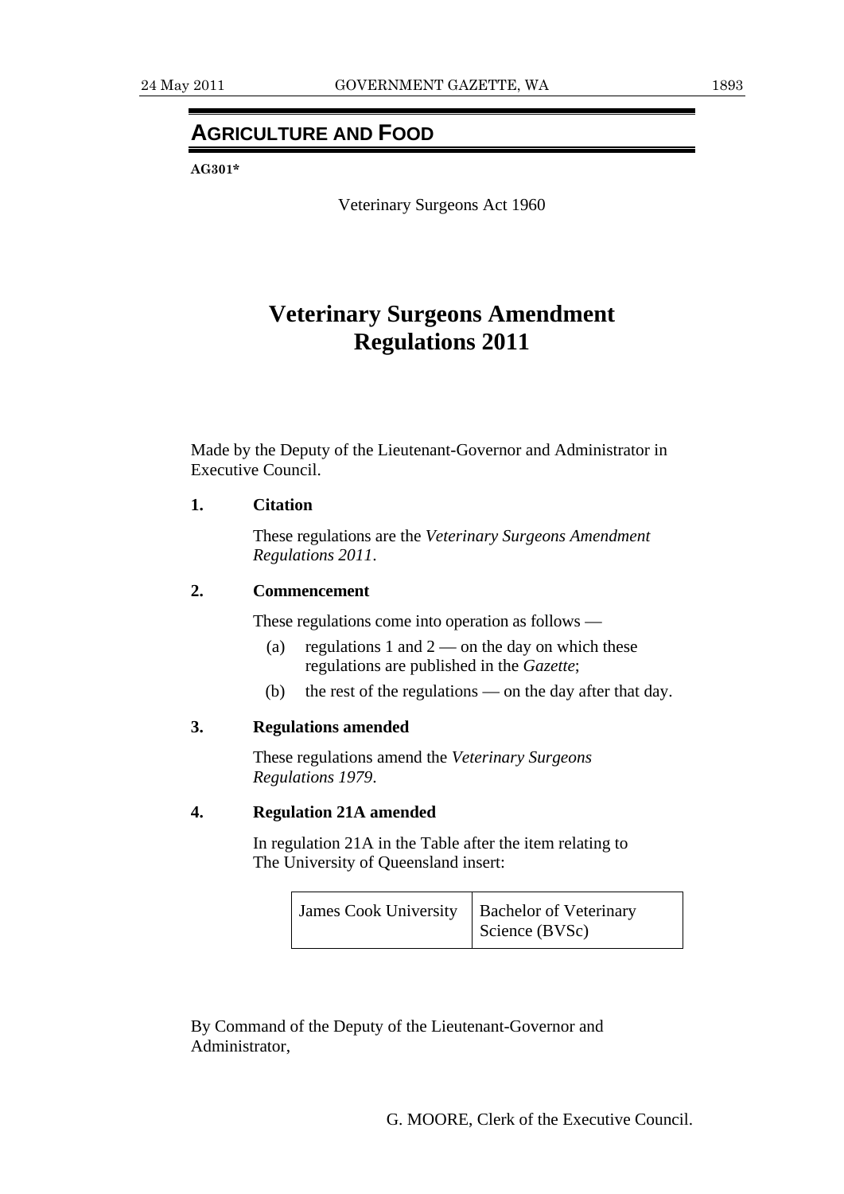# **AGRICULTURE AND FOOD**

**AG301\*** 

Veterinary Surgeons Act 1960

# **Veterinary Surgeons Amendment Regulations 2011**

Made by the Deputy of the Lieutenant-Governor and Administrator in Executive Council.

### **1. Citation**

 These regulations are the *Veterinary Surgeons Amendment Regulations 2011*.

### **2. Commencement**

These regulations come into operation as follows —

- (a) regulations 1 and  $2$  on the day on which these regulations are published in the *Gazette*;
- (b) the rest of the regulations on the day after that day.

# **3. Regulations amended**

 These regulations amend the *Veterinary Surgeons Regulations 1979*.

## **4. Regulation 21A amended**

 In regulation 21A in the Table after the item relating to The University of Queensland insert:

| James Cook University   Bachelor of Veterinary | Science (BVSc) |
|------------------------------------------------|----------------|
|                                                |                |

By Command of the Deputy of the Lieutenant-Governor and Administrator,

G. MOORE, Clerk of the Executive Council.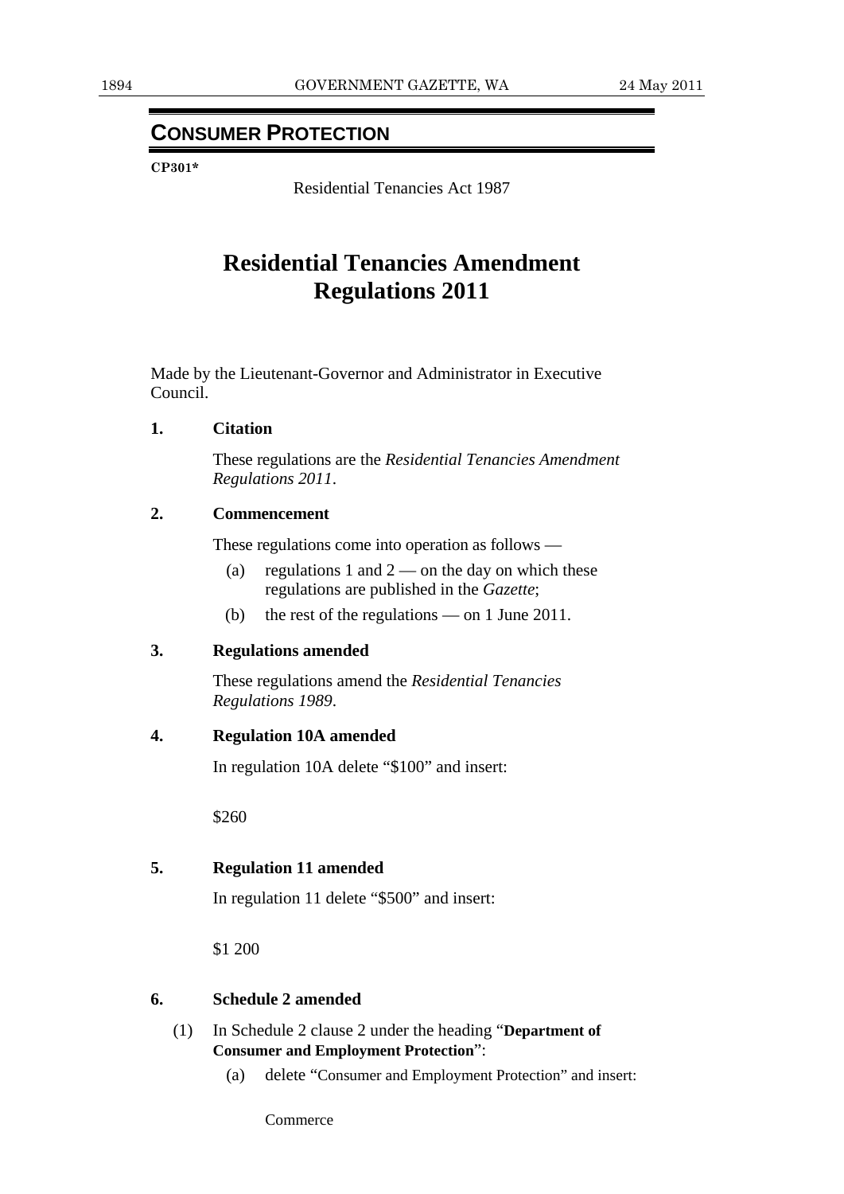# **CONSUMER PROTECTION**

**CP301\*** 

Residential Tenancies Act 1987

# **Residential Tenancies Amendment Regulations 2011**

Made by the Lieutenant-Governor and Administrator in Executive Council.

### **1. Citation**

 These regulations are the *Residential Tenancies Amendment Regulations 2011*.

### **2. Commencement**

These regulations come into operation as follows —

- (a) regulations 1 and  $2$  on the day on which these regulations are published in the *Gazette*;
- (b) the rest of the regulations on 1 June 2011.

# **3. Regulations amended**

 These regulations amend the *Residential Tenancies Regulations 1989*.

### **4. Regulation 10A amended**

In regulation 10A delete "\$100" and insert:

\$260

# **5. Regulation 11 amended**

In regulation 11 delete "\$500" and insert:

\$1 200

### **6. Schedule 2 amended**

- (1) In Schedule 2 clause 2 under the heading "**Department of Consumer and Employment Protection**":
	- (a) delete "Consumer and Employment Protection" and insert:

Commerce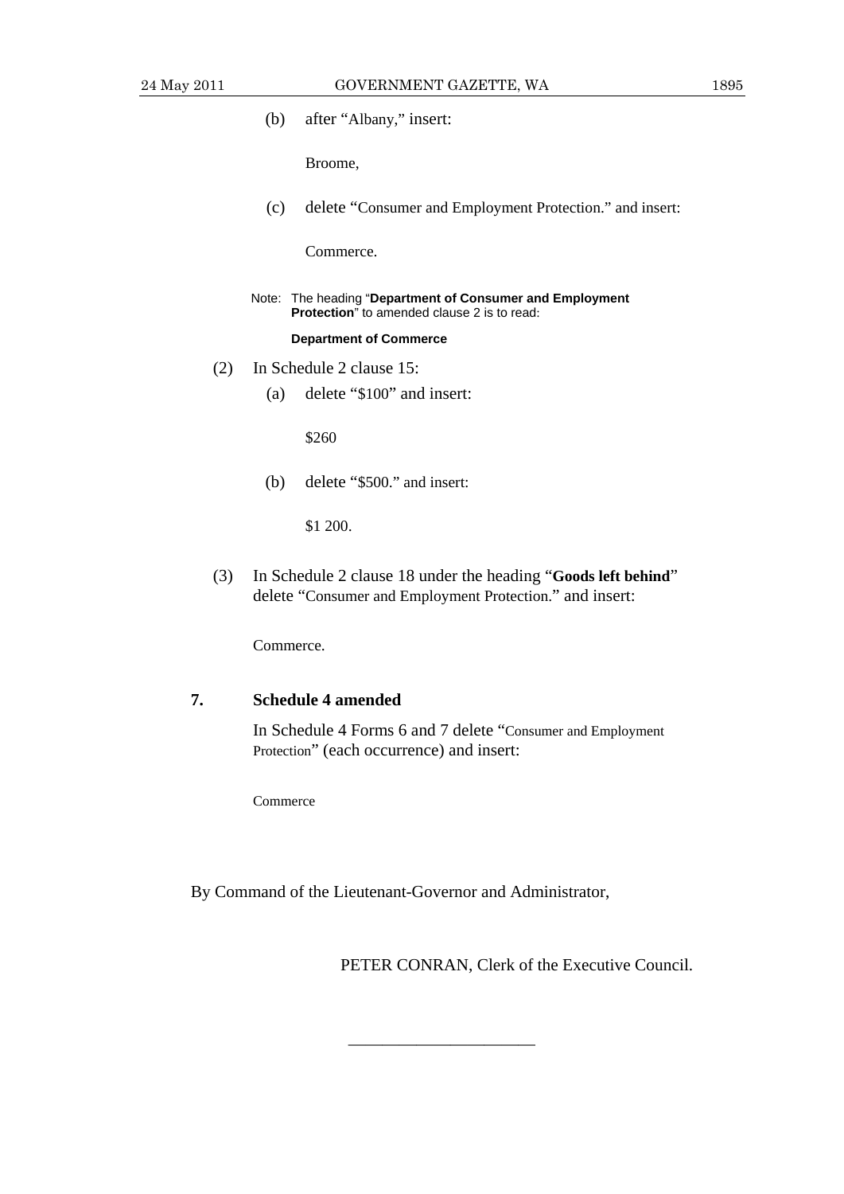(b) after "Albany," insert:

Broome,

(c) delete "Consumer and Employment Protection." and insert:

Commerce.

 Note: The heading "**Department of Consumer and Employment Protection**" to amended clause 2 is to read:

### **Department of Commerce**

- (2) In Schedule 2 clause 15:
	- (a) delete "\$100" and insert:

\$260

(b) delete "\$500." and insert:

\$1 200.

 (3) In Schedule 2 clause 18 under the heading "**Goods left behind**" delete "Consumer and Employment Protection." and insert:

Commerce.

# **7. Schedule 4 amended**

 In Schedule 4 Forms 6 and 7 delete "Consumer and Employment Protection" (each occurrence) and insert:

Commerce

By Command of the Lieutenant-Governor and Administrator,

———————————

PETER CONRAN, Clerk of the Executive Council.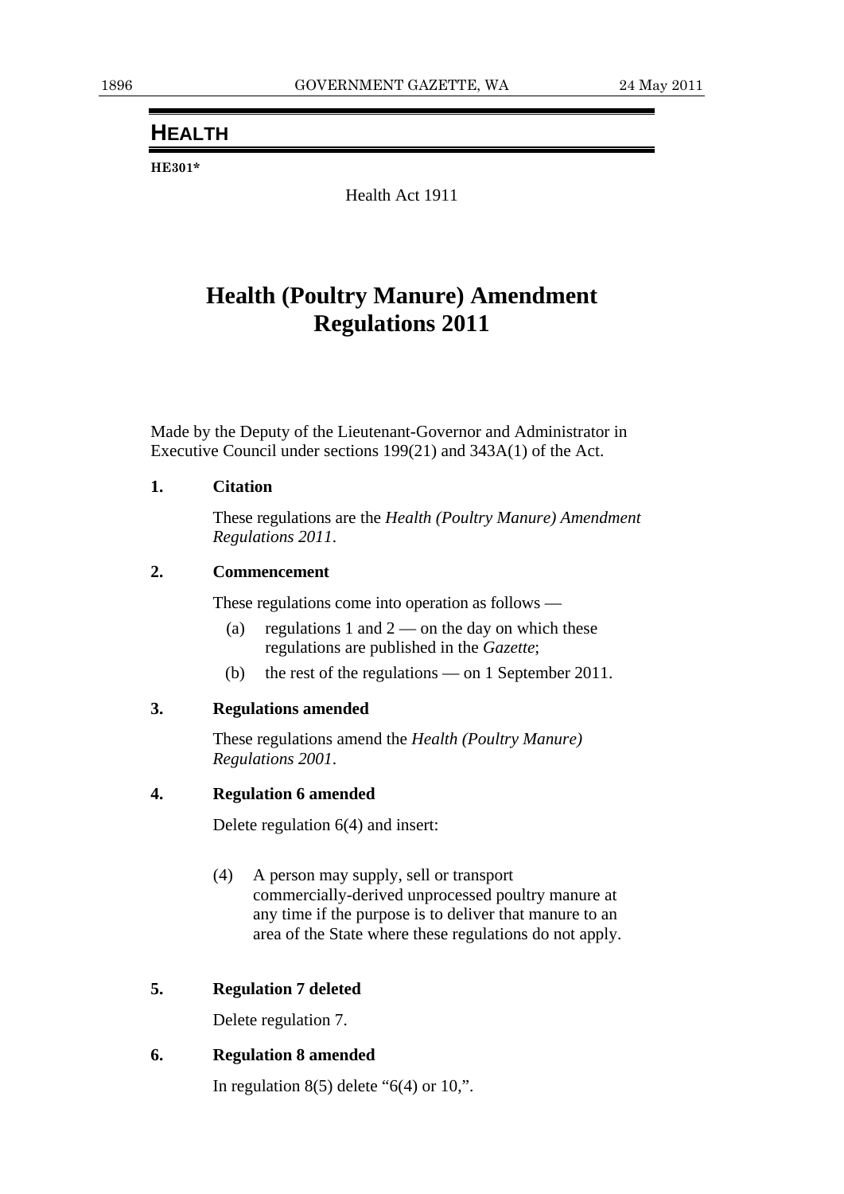# **HEALTH**

**HE301\*** 

Health Act 1911

# **Health (Poultry Manure) Amendment Regulations 2011**

Made by the Deputy of the Lieutenant-Governor and Administrator in Executive Council under sections 199(21) and 343A(1) of the Act.

## **1. Citation**

 These regulations are the *Health (Poultry Manure) Amendment Regulations 2011*.

## **2. Commencement**

These regulations come into operation as follows —

- (a) regulations 1 and  $2$  on the day on which these regulations are published in the *Gazette*;
- (b) the rest of the regulations on 1 September 2011.

### **3. Regulations amended**

 These regulations amend the *Health (Poultry Manure) Regulations 2001*.

### **4. Regulation 6 amended**

Delete regulation 6(4) and insert:

 (4) A person may supply, sell or transport commercially-derived unprocessed poultry manure at any time if the purpose is to deliver that manure to an area of the State where these regulations do not apply.

### **5. Regulation 7 deleted**

Delete regulation 7.

# **6. Regulation 8 amended**

In regulation  $8(5)$  delete " $6(4)$  or  $10$ ,".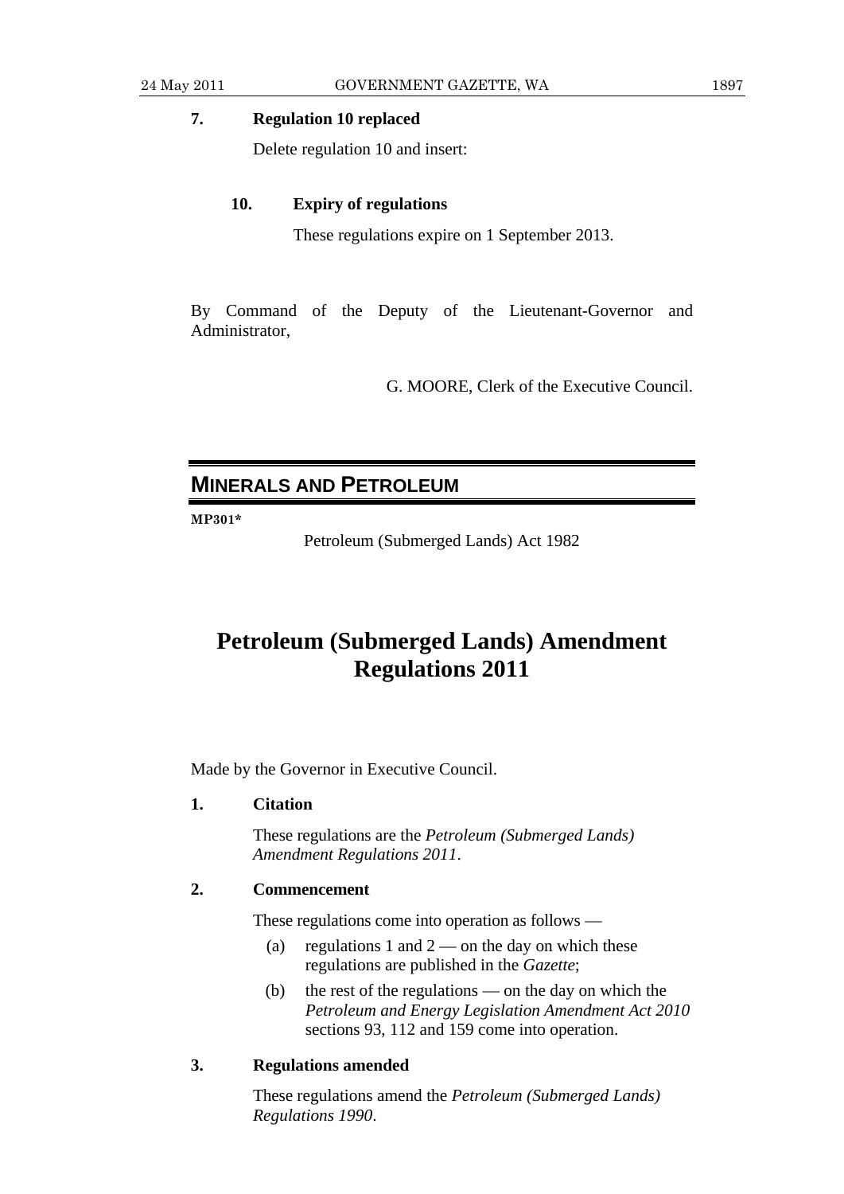# **7. Regulation 10 replaced**

Delete regulation 10 and insert:

### **10. Expiry of regulations**

These regulations expire on 1 September 2013.

By Command of the Deputy of the Lieutenant-Governor and Administrator,

G. MOORE, Clerk of the Executive Council.

# **MINERALS AND PETROLEUM**

**MP301\*** 

Petroleum (Submerged Lands) Act 1982

# **Petroleum (Submerged Lands) Amendment Regulations 2011**

Made by the Governor in Executive Council.

### **1. Citation**

 These regulations are the *Petroleum (Submerged Lands) Amendment Regulations 2011*.

### **2. Commencement**

These regulations come into operation as follows —

- (a) regulations 1 and  $2$  on the day on which these regulations are published in the *Gazette*;
- (b) the rest of the regulations on the day on which the *Petroleum and Energy Legislation Amendment Act 2010* sections 93, 112 and 159 come into operation.

## **3. Regulations amended**

 These regulations amend the *Petroleum (Submerged Lands) Regulations 1990*.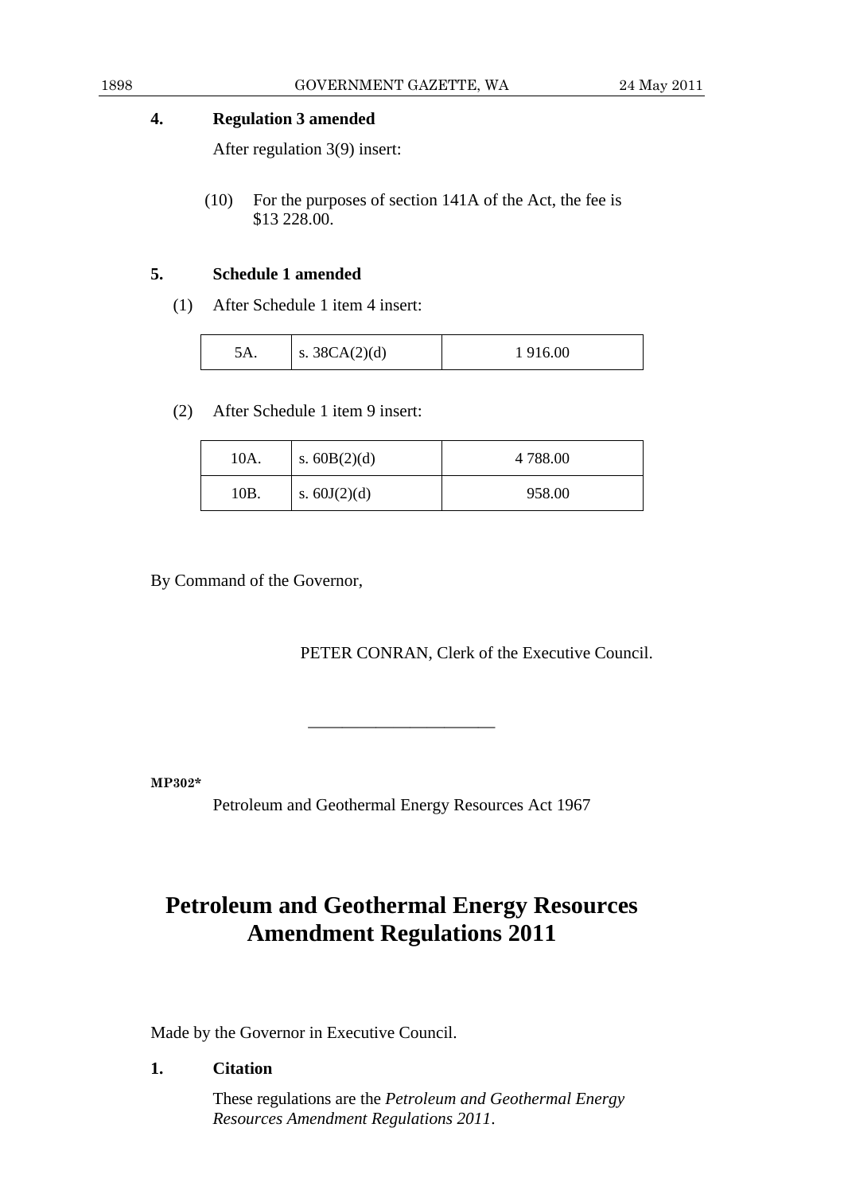# **4. Regulation 3 amended**

After regulation 3(9) insert:

 (10) For the purposes of section 141A of the Act, the fee is \$13 228.00.

# **5. Schedule 1 amended**

(1) After Schedule 1 item 4 insert:

| s. $38CA(2)(d)$<br>916.00<br>ίΔ |
|---------------------------------|
|---------------------------------|

(2) After Schedule 1 item 9 insert:

| 10A. | s. $60B(2)(d)$ | 4 788.00 |
|------|----------------|----------|
| 10B. | s. $60J(2)(d)$ | 958.00   |

By Command of the Governor,

PETER CONRAN, Clerk of the Executive Council.

**MP302\*** 

Petroleum and Geothermal Energy Resources Act 1967

———————————

# **Petroleum and Geothermal Energy Resources Amendment Regulations 2011**

Made by the Governor in Executive Council.

# **1. Citation**

 These regulations are the *Petroleum and Geothermal Energy Resources Amendment Regulations 2011*.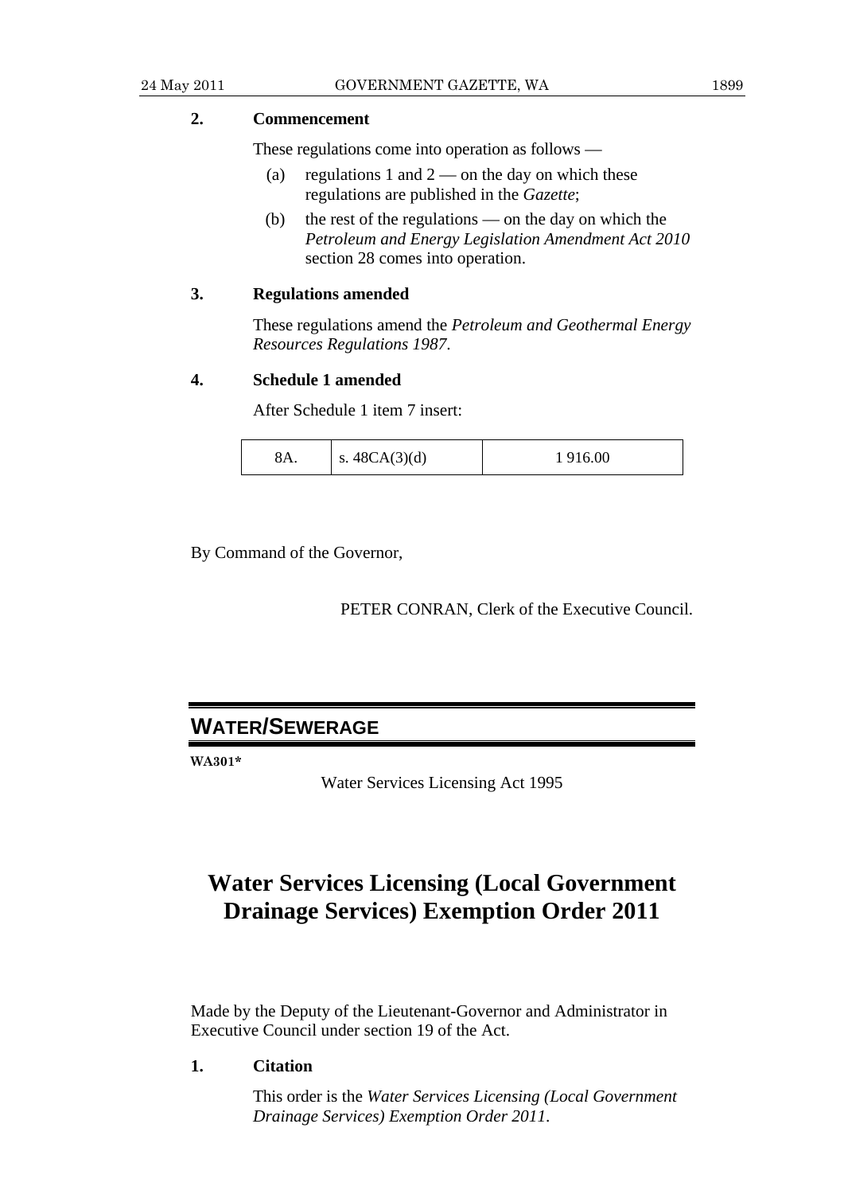# **2. Commencement**

These regulations come into operation as follows —

- (a) regulations 1 and  $2$  on the day on which these regulations are published in the *Gazette*;
- (b) the rest of the regulations on the day on which the *Petroleum and Energy Legislation Amendment Act 2010* section 28 comes into operation.

### **3. Regulations amended**

 These regulations amend the *Petroleum and Geothermal Energy Resources Regulations 1987*.

### **4. Schedule 1 amended**

After Schedule 1 item 7 insert:

| s. $48CA(3)(d)$<br>916.00<br>$8\,\Delta$ |
|------------------------------------------|
|------------------------------------------|

By Command of the Governor,

PETER CONRAN, Clerk of the Executive Council.

# **WATER/SEWERAGE**

**WA301\*** 

Water Services Licensing Act 1995

# **Water Services Licensing (Local Government Drainage Services) Exemption Order 2011**

Made by the Deputy of the Lieutenant-Governor and Administrator in Executive Council under section 19 of the Act.

**1. Citation** 

 This order is the *Water Services Licensing (Local Government Drainage Services) Exemption Order 2011*.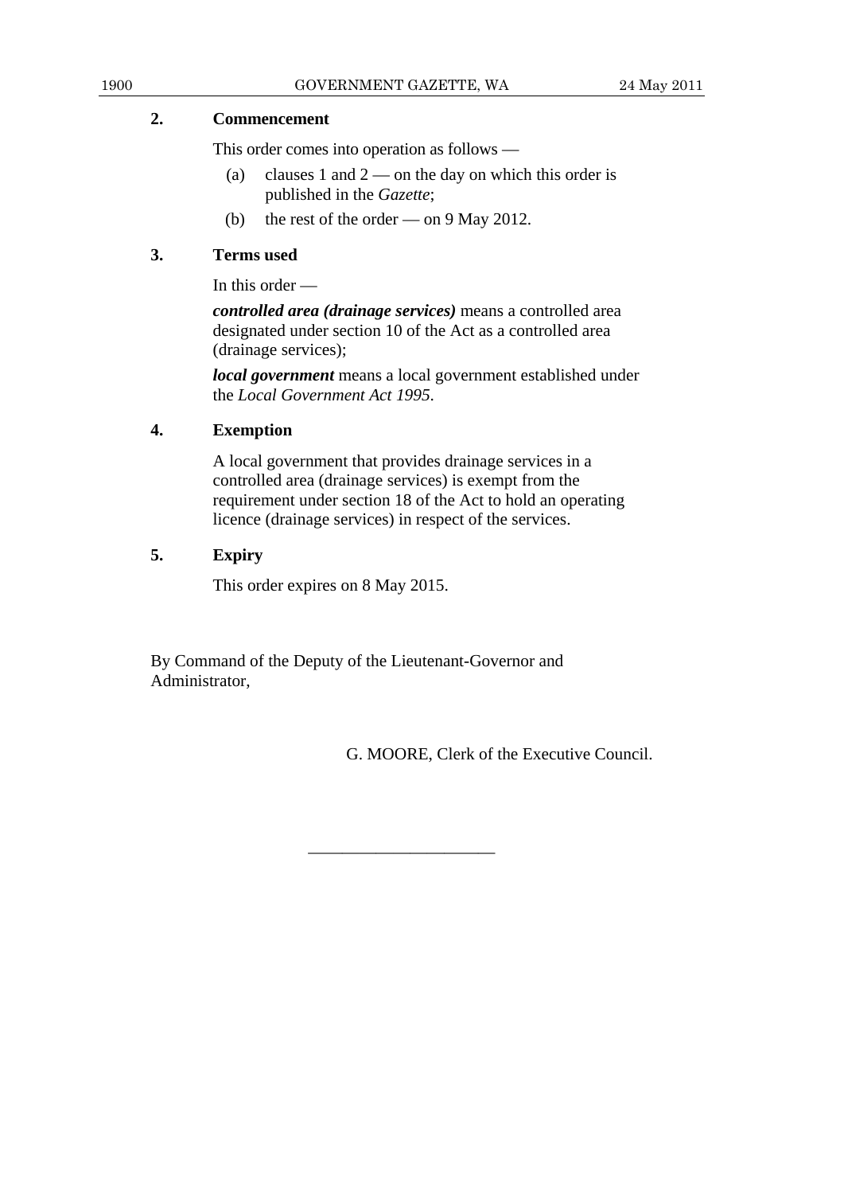# **2. Commencement**

This order comes into operation as follows —

- (a) clauses 1 and  $2$  on the day on which this order is published in the *Gazette*;
- (b) the rest of the order on 9 May 2012.

# **3. Terms used**

In this order —

*controlled area (drainage services)* means a controlled area designated under section 10 of the Act as a controlled area (drainage services);

*local government* means a local government established under the *Local Government Act 1995*.

# **4. Exemption**

 A local government that provides drainage services in a controlled area (drainage services) is exempt from the requirement under section 18 of the Act to hold an operating licence (drainage services) in respect of the services.

# **5. Expiry**

This order expires on 8 May 2015.

By Command of the Deputy of the Lieutenant-Governor and Administrator,

———————————

G. MOORE, Clerk of the Executive Council.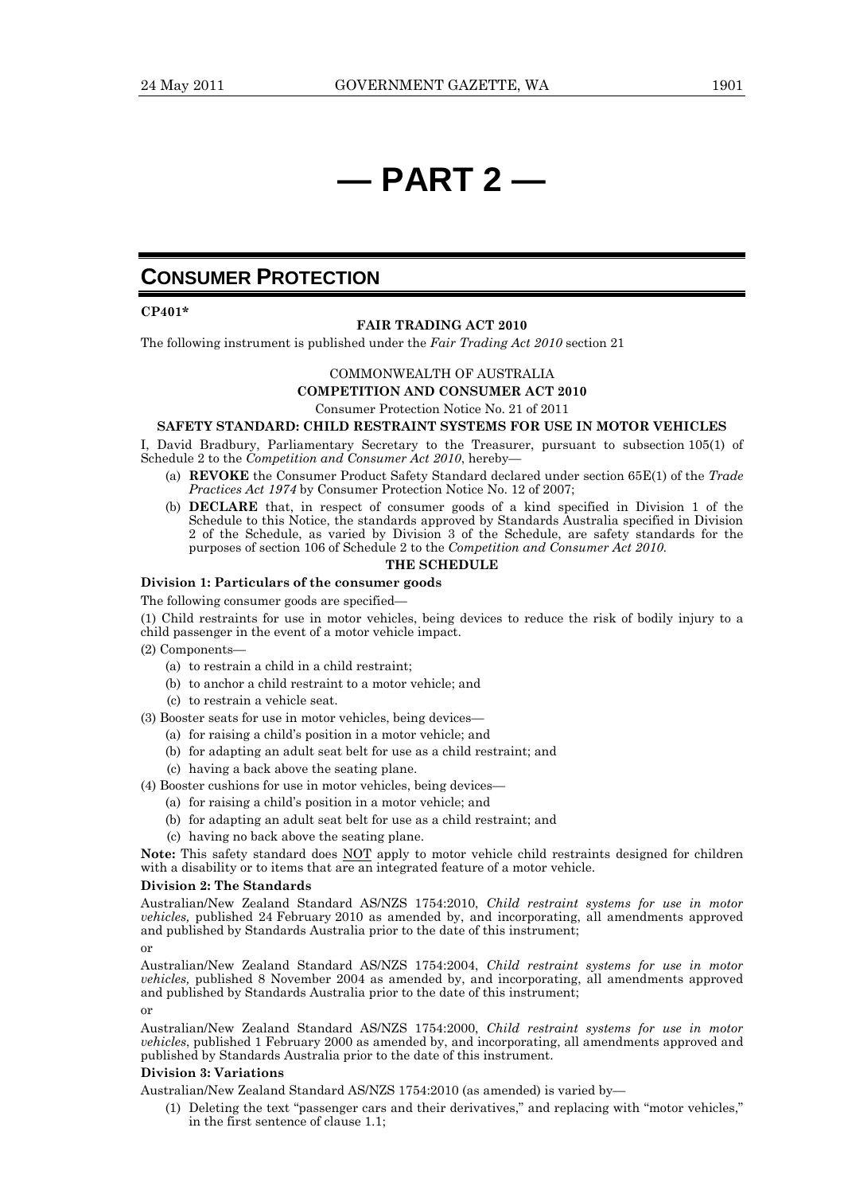# **— PART 2 —**

# **CONSUMER PROTECTION**

### **CP401\***

#### **FAIR TRADING ACT 2010**

The following instrument is published under the *Fair Trading Act 2010* section 21

### COMMONWEALTH OF AUSTRALIA

**COMPETITION AND CONSUMER ACT 2010** 

Consumer Protection Notice No. 21 of 2011

### **SAFETY STANDARD: CHILD RESTRAINT SYSTEMS FOR USE IN MOTOR VEHICLES**

I, David Bradbury, Parliamentary Secretary to the Treasurer, pursuant to subsection 105(1) of Schedule 2 to the *Competition and Consumer Act 2010*, hereby—

- (a) **REVOKE** the Consumer Product Safety Standard declared under section 65E(1) of the *Trade Practices Act 1974* by Consumer Protection Notice No. 12 of 2007;
- (b) **DECLARE** that, in respect of consumer goods of a kind specified in Division 1 of the Schedule to this Notice, the standards approved by Standards Australia specified in Division 2 of the Schedule, as varied by Division 3 of the Schedule, are safety standards for the purposes of section 106 of Schedule 2 to the *Competition and Consumer Act 2010.*

### **THE SCHEDULE**

### **Division 1: Particulars of the consumer goods**

The following consumer goods are specified—

- (1) Child restraints for use in motor vehicles, being devices to reduce the risk of bodily injury to a child passenger in the event of a motor vehicle impact.
- (2) Components—
	- (a) to restrain a child in a child restraint;
	- (b) to anchor a child restraint to a motor vehicle; and
	- (c) to restrain a vehicle seat.
- (3) Booster seats for use in motor vehicles, being devices—
	- (a) for raising a child's position in a motor vehicle; and
	- (b) for adapting an adult seat belt for use as a child restraint; and
	- (c) having a back above the seating plane.
- (4) Booster cushions for use in motor vehicles, being devices—
	- (a) for raising a child's position in a motor vehicle; and
	- (b) for adapting an adult seat belt for use as a child restraint; and
	- (c) having no back above the seating plane.

**Note:** This safety standard does NOT apply to motor vehicle child restraints designed for children with a disability or to items that are an integrated feature of a motor vehicle.

#### **Division 2: The Standards**

Australian/New Zealand Standard AS/NZS 1754:2010, *Child restraint systems for use in motor vehicles,* published 24 February 2010 as amended by, and incorporating, all amendments approved and published by Standards Australia prior to the date of this instrument;

or

Australian/New Zealand Standard AS/NZS 1754:2004, *Child restraint systems for use in motor vehicles,* published 8 November 2004 as amended by, and incorporating, all amendments approved and published by Standards Australia prior to the date of this instrument;

or

Australian/New Zealand Standard AS/NZS 1754:2000, *Child restraint systems for use in motor vehicles*, published 1 February 2000 as amended by, and incorporating, all amendments approved and published by Standards Australia prior to the date of this instrument.

### **Division 3: Variations**

Australian/New Zealand Standard AS/NZS 1754:2010 (as amended) is varied by—

 (1) Deleting the text "passenger cars and their derivatives," and replacing with "motor vehicles," in the first sentence of clause 1.1;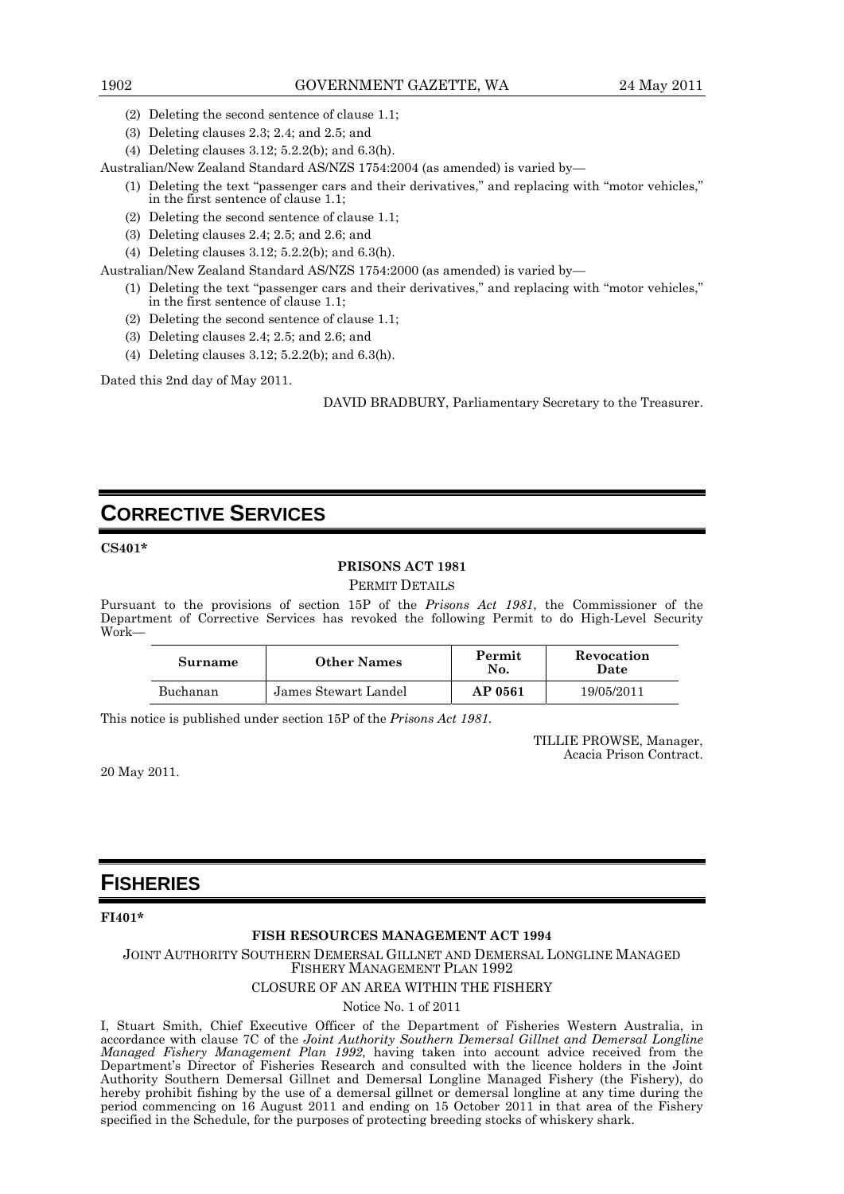- (2) Deleting the second sentence of clause 1.1;
- (3) Deleting clauses 2.3; 2.4; and 2.5; and
- (4) Deleting clauses 3.12; 5.2.2(b); and 6.3(h).

Australian/New Zealand Standard AS/NZS 1754:2004 (as amended) is varied by—

- (1) Deleting the text "passenger cars and their derivatives," and replacing with "motor vehicles," in the first sentence of clause 1.1;
- (2) Deleting the second sentence of clause 1.1;
- (3) Deleting clauses 2.4; 2.5; and 2.6; and
- (4) Deleting clauses 3.12; 5.2.2(b); and 6.3(h).

Australian/New Zealand Standard AS/NZS 1754:2000 (as amended) is varied by—

- (1) Deleting the text "passenger cars and their derivatives," and replacing with "motor vehicles," in the first sentence of clause 1.1;
- (2) Deleting the second sentence of clause 1.1;
- (3) Deleting clauses 2.4; 2.5; and 2.6; and
- (4) Deleting clauses 3.12; 5.2.2(b); and 6.3(h).

Dated this 2nd day of May 2011.

DAVID BRADBURY, Parliamentary Secretary to the Treasurer.

# **CORRECTIVE SERVICES**

### **CS401\***

### **PRISONS ACT 1981**

PERMIT DETAILS

Pursuant to the provisions of section 15P of the *Prisons Act 1981*, the Commissioner of the Department of Corrective Services has revoked the following Permit to do High-Level Security Work—

| Surname  | <b>Other Names</b>   | Permit<br>No. |            |
|----------|----------------------|---------------|------------|
| Buchanan | James Stewart Landel | AP 0561       | 19/05/2011 |

This notice is published under section 15P of the *Prisons Act 1981*.

TILLIE PROWSE, Manager, Acacia Prison Contract.

20 May 2011.

# **FISHERIES**

**FI401\*** 

### **FISH RESOURCES MANAGEMENT ACT 1994**

JOINT AUTHORITY SOUTHERN DEMERSAL GILLNET AND DEMERSAL LONGLINE MANAGED FISHERY MANAGEMENT PLAN 1992

### CLOSURE OF AN AREA WITHIN THE FISHERY

Notice No. 1 of 2011

I, Stuart Smith, Chief Executive Officer of the Department of Fisheries Western Australia, in accordance with clause 7C of the *Joint Authority Southern Demersal Gillnet and Demersal Longline Managed Fishery Management Plan 1992,* having taken into account advice received from the Department's Director of Fisheries Research and consulted with the licence holders in the Joint Authority Southern Demersal Gillnet and Demersal Longline Managed Fishery (the Fishery), do hereby prohibit fishing by the use of a demersal gillnet or demersal longline at any time during the period commencing on 16 August 2011 and ending on 15 October 2011 in that area of the Fishery specified in the Schedule, for the purposes of protecting breeding stocks of whiskery shark.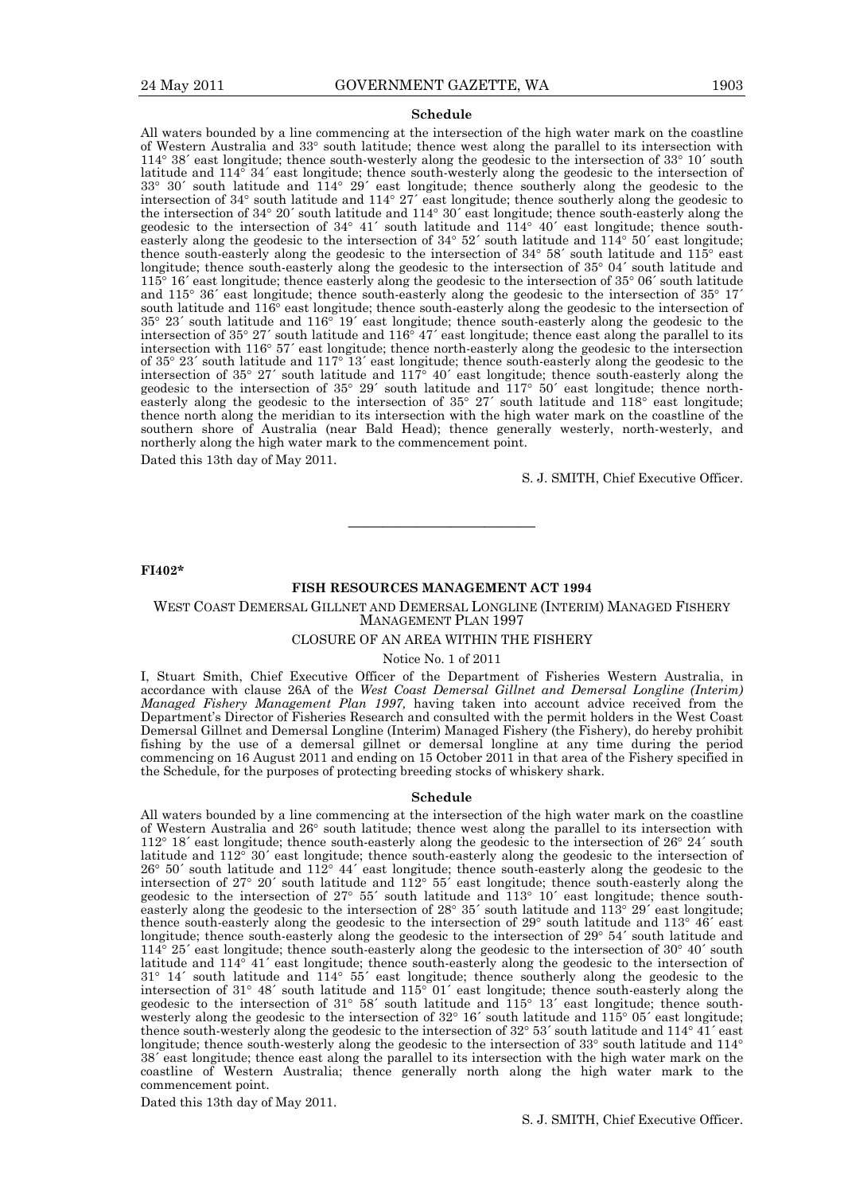#### **Schedule**

All waters bounded by a line commencing at the intersection of the high water mark on the coastline of Western Australia and 33° south latitude; thence west along the parallel to its intersection with  $114^{\circ}$  38' east longitude; thence south-westerly along the geodesic to the intersection of 33 $^{\circ}$  10' south latitude and  $114^{\circ}$  34' east longitude; thence south-westerly along the geodesic to the intersection of  $33^\circ$  30´ south latitude and  $114^\circ$  29´ east longitude; thence southerly along the geodesic to the intersection of  $34^{\circ}$  south latitude and  $114^{\circ}$   $27'$  east longitude; thence southerly along the geodesic to the intersection of 34° 20´ south latitude and 114° 30´ east longitude; thence south-easterly along the geodesic to the intersection of  $34^{\circ}$   $41'$  south latitude and  $114^{\circ}$   $40'$  east longitude; thence southeasterly along the geodesic to the intersection of  $34^{\circ}$  52' south latitude and  $114^{\circ}$  50' east longitude; thence south-easterly along the geodesic to the intersection of  $34^{\circ}$  58´ south latitude and  $115^{\circ}$  east longitude; thence south-easterly along the geodesic to the intersection of 35° 04´ south latitude and  $115^{\circ}$  16<sup> $\circ$ </sup> east longitude; thence easterly along the geodesic to the intersection of 35 $^{\circ}$  06 $^{\circ}$  south latitude and  $115^{\circ}$  36' east longitude; thence south-easterly along the geodesic to the intersection of 35 $^{\circ}$  17<sup>'</sup> south latitude and 116<sup>°</sup> east longitude; thence south-easterly along the geodesic to the intersection of  $35^{\circ}$  23' south latitude and  $116^{\circ}$  19' east longitude; thence south-easterly along the geodesic to the intersection of  $35^{\circ}$  27´ south latitude and  $116^{\circ}$  47´ east longitude; thence east along the parallel to its intersection with 116<sup>°</sup> 57<sup>′</sup> east longitude; thence north-easterly along the geodesic to the intersection of  $35^{\circ}$  23' south latitude and  $117^{\circ}$  13' east longitude; thence south-easterly along the geodesic to the intersection of  $35^{\circ}$  27' south latitude and  $117^{\circ}$  40' east longitude; thence south-easterly along the geodesic to the intersection of  $35^{\circ}$  29' south latitude and  $117^{\circ}$  50' east longitude; thence northeasterly along the geodesic to the intersection of  $35^{\circ}$   $27'$  south latitude and  $118^{\circ}$  east longitude; thence north along the meridian to its intersection with the high water mark on the coastline of the southern shore of Australia (near Bald Head); thence generally westerly, north-westerly, and northerly along the high water mark to the commencement point.

Dated this 13th day of May 2011.

S. J. SMITH, Chief Executive Officer.

### **FI402\***

### **FISH RESOURCES MANAGEMENT ACT 1994**

———————————

WEST COAST DEMERSAL GILLNET AND DEMERSAL LONGLINE (INTERIM) MANAGED FISHERY MANAGEMENT PLAN 1997

#### CLOSURE OF AN AREA WITHIN THE FISHERY

### Notice No. 1 of 2011

I, Stuart Smith, Chief Executive Officer of the Department of Fisheries Western Australia, in accordance with clause 26A of the *West Coast Demersal Gillnet and Demersal Longline (Interim) Managed Fishery Management Plan 1997,* having taken into account advice received from the Department's Director of Fisheries Research and consulted with the permit holders in the West Coast Demersal Gillnet and Demersal Longline (Interim) Managed Fishery (the Fishery), do hereby prohibit fishing by the use of a demersal gillnet or demersal longline at any time during the period commencing on 16 August 2011 and ending on 15 October 2011 in that area of the Fishery specified in the Schedule, for the purposes of protecting breeding stocks of whiskery shark.

#### **Schedule**

All waters bounded by a line commencing at the intersection of the high water mark on the coastline of Western Australia and 26° south latitude; thence west along the parallel to its intersection with  $112^{\circ}$  18´ east longitude; thence south-easterly along the geodesic to the intersection of 26 $^{\circ}$  24´ south latitude and  $112^{\circ}$  30<sup> $\prime$ </sup> east longitude; thence south-easterly along the geodesic to the intersection of  $26^{\circ}$  50' south latitude and  $112^{\circ}$  44' east longitude; thence south-easterly along the geodesic to the intersection of  $27^{\circ}$  20' south latitude and  $112^{\circ}$  55' east longitude; thence south-easterly along the geodesic to the intersection of 27 $^{\circ}$  55´ south latitude and  $113^{\circ}$  10´ east longitude; thence southeasterly along the geodesic to the intersection of 28° 35′ south latitude and  $113°$  29′ east longitude; thence south-easterly along the geodesic to the intersection of 29° south latitude and 113°  $46'$  east longitude; thence south-easterly along the geodesic to the intersection of 29° 54′ south latitude and  $114^{\circ}$  25´ east longitude; thence south-easterly along the geodesic to the intersection of 30 $^{\circ}$  40´ south latitude and  $114^{\circ}$   $41'$  east longitude; thence south-easterly along the geodesic to the intersection of  $31^{\circ}$  14' south latitude and  $114^{\circ}$  55' east longitude; thence southerly along the geodesic to the intersection of 31° 48′ south latitude and  $115^{\circ}$  01′ east longitude; thence south-easterly along the geodesic to the intersection of  $31^{\circ}$  58' south latitude and  $115^{\circ}$  13' east longitude; thence southwesterly along the geodesic to the intersection of  $32^{\circ}$  16´ south latitude and  $115^{\circ}$  05´ east longitude; thence south-westerly along the geodesic to the intersection of 32° 53′ south latitude and 114° 41′ east longitude; thence south-westerly along the geodesic to the intersection of 33° south latitude and 114° 38´ east longitude; thence east along the parallel to its intersection with the high water mark on the coastline of Western Australia; thence generally north along the high water mark to the commencement point.

Dated this 13th day of May 2011.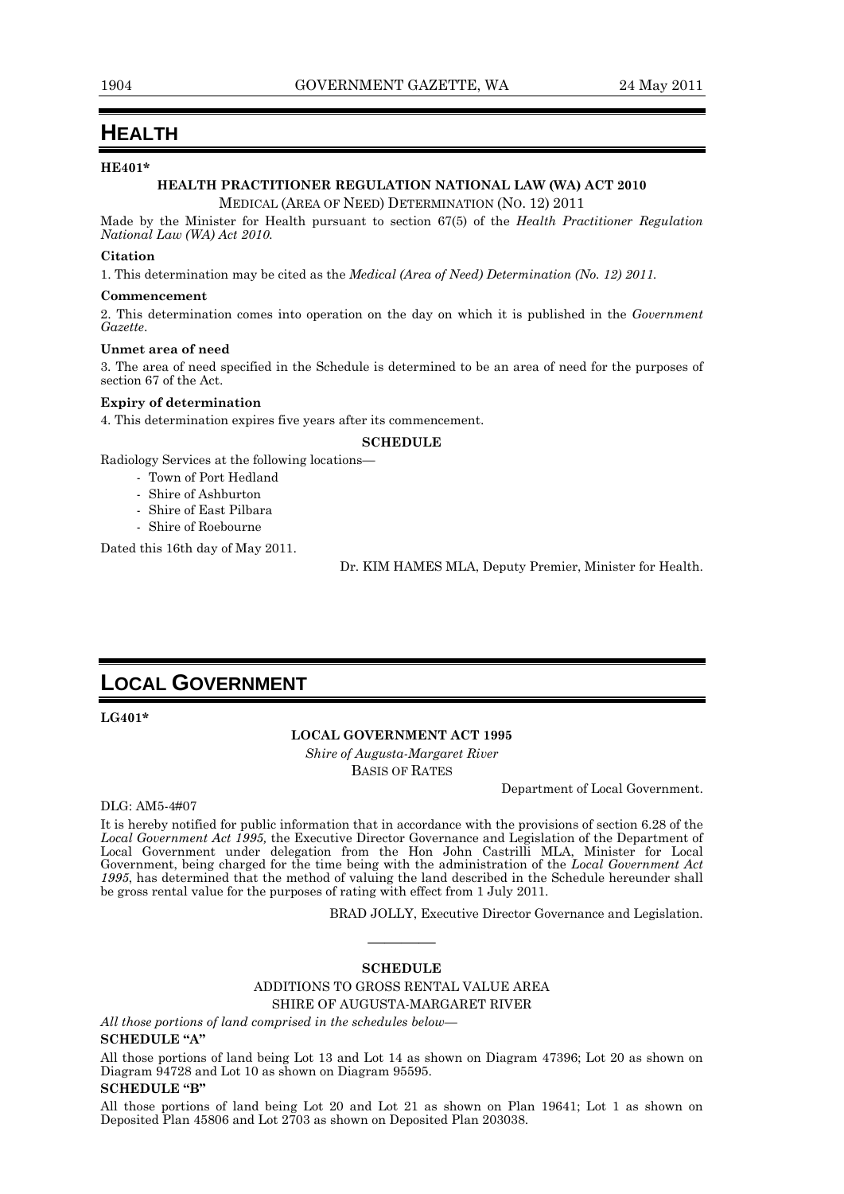# **HEALTH**

### **HE401\***

### **HEALTH PRACTITIONER REGULATION NATIONAL LAW (WA) ACT 2010**  MEDICAL (AREA OF NEED) DETERMINATION (NO. 12) 2011

Made by the Minister for Health pursuant to section 67(5) of the *Health Practitioner Regulation National Law (WA) Act 2010.* 

### **Citation**

1. This determination may be cited as the *Medical (Area of Need) Determination (No. 12) 2011.* 

#### **Commencement**

2. This determination comes into operation on the day on which it is published in the *Government Gazette*.

#### **Unmet area of need**

3. The area of need specified in the Schedule is determined to be an area of need for the purposes of section 67 of the Act.

### **Expiry of determination**

4. This determination expires five years after its commencement.

#### **SCHEDULE**

Radiology Services at the following locations—

- Town of Port Hedland
- Shire of Ashburton
- Shire of East Pilbara
- Shire of Roebourne

Dated this 16th day of May 2011.

Dr. KIM HAMES MLA, Deputy Premier, Minister for Health.

# **LOCAL GOVERNMENT**

**LG401\*** 

### **LOCAL GOVERNMENT ACT 1995**

*Shire of Augusta-Margaret River*  BASIS OF RATES

Department of Local Government.

### DLG: AM5-4#07

It is hereby notified for public information that in accordance with the provisions of section 6.28 of the *Local Government Act 1995,* the Executive Director Governance and Legislation of the Department of Local Government under delegation from the Hon John Castrilli MLA, Minister for Local Government, being charged for the time being with the administration of the *Local Government Act 1995*, has determined that the method of valuing the land described in the Schedule hereunder shall be gross rental value for the purposes of rating with effect from 1 July 2011.

BRAD JOLLY, Executive Director Governance and Legislation.

# ———— **SCHEDULE**

### ADDITIONS TO GROSS RENTAL VALUE AREA SHIRE OF AUGUSTA-MARGARET RIVER

*All those portions of land comprised in the schedules below—*  **SCHEDULE "A"** 

All those portions of land being Lot 13 and Lot 14 as shown on Diagram 47396; Lot 20 as shown on Diagram 94728 and Lot 10 as shown on Diagram 95595.

### **SCHEDULE "B"**

All those portions of land being Lot 20 and Lot 21 as shown on Plan 19641; Lot 1 as shown on Deposited Plan 45806 and Lot 2703 as shown on Deposited Plan 203038.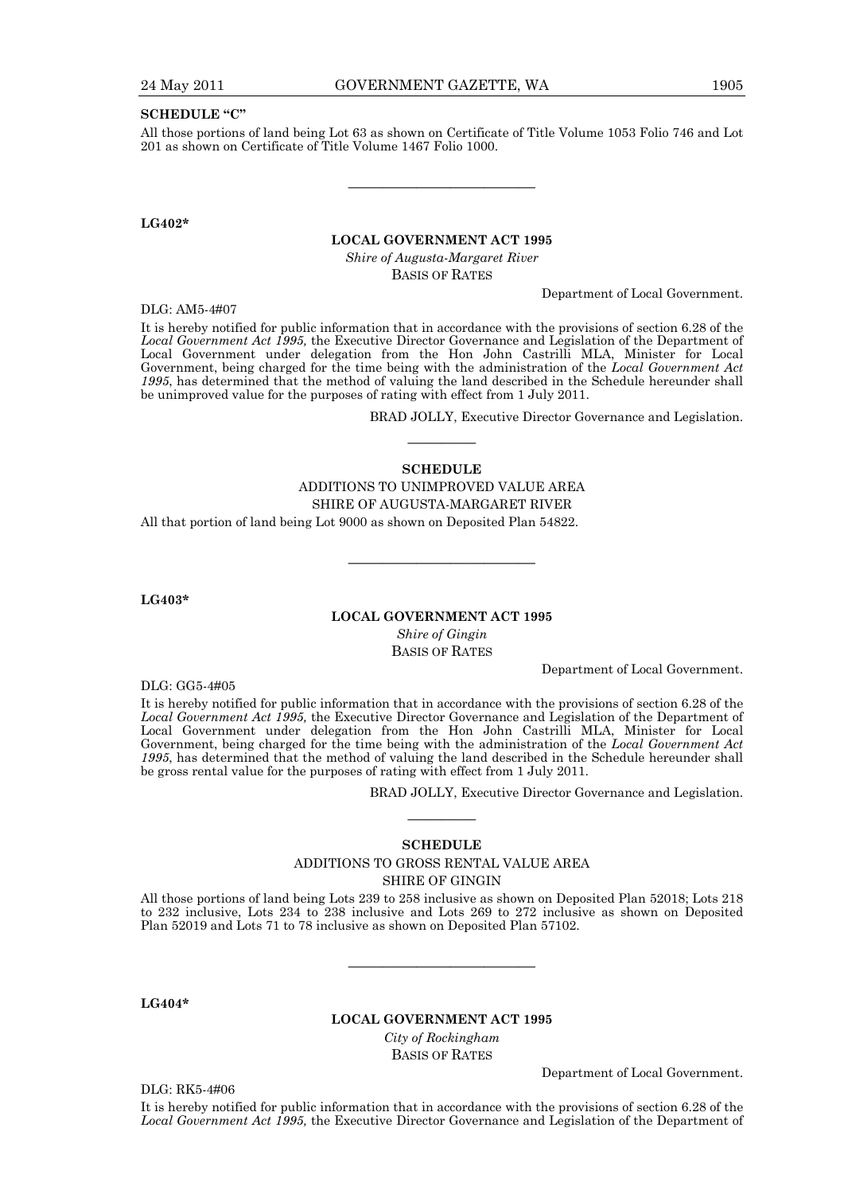### **SCHEDULE "C"**

All those portions of land being Lot 63 as shown on Certificate of Title Volume 1053 Folio 746 and Lot 201 as shown on Certificate of Title Volume 1467 Folio 1000.

———————————

**LG402\*** 

### **LOCAL GOVERNMENT ACT 1995**

*Shire of Augusta-Margaret River*  BASIS OF RATES

Department of Local Government.

DLG: AM5-4#07

It is hereby notified for public information that in accordance with the provisions of section 6.28 of the *Local Government Act 1995,* the Executive Director Governance and Legislation of the Department of Local Government under delegation from the Hon John Castrilli MLA, Minister for Local Government, being charged for the time being with the administration of the *Local Government Act 1995*, has determined that the method of valuing the land described in the Schedule hereunder shall be unimproved value for the purposes of rating with effect from 1 July 2011.

BRAD JOLLY, Executive Director Governance and Legislation.

# ———— **SCHEDULE**

ADDITIONS TO UNIMPROVED VALUE AREA SHIRE OF AUGUSTA-MARGARET RIVER All that portion of land being Lot 9000 as shown on Deposited Plan 54822.

**LG403\*** 

### **LOCAL GOVERNMENT ACT 1995**

———————————

*Shire of Gingin*  BASIS OF RATES

Department of Local Government.

DLG: GG5-4#05

It is hereby notified for public information that in accordance with the provisions of section 6.28 of the *Local Government Act 1995,* the Executive Director Governance and Legislation of the Department of Local Government under delegation from the Hon John Castrilli MLA, Minister for Local Government, being charged for the time being with the administration of the *Local Government Act 1995*, has determined that the method of valuing the land described in the Schedule hereunder shall be gross rental value for the purposes of rating with effect from 1 July 2011.

BRAD JOLLY, Executive Director Governance and Legislation.

# ———— **SCHEDULE**

# ADDITIONS TO GROSS RENTAL VALUE AREA

SHIRE OF GINGIN

All those portions of land being Lots 239 to 258 inclusive as shown on Deposited Plan 52018; Lots 218 to 232 inclusive, Lots 234 to 238 inclusive and Lots 269 to 272 inclusive as shown on Deposited Plan 52019 and Lots 71 to 78 inclusive as shown on Deposited Plan 57102.

———————————

**LG404\*** 

### **LOCAL GOVERNMENT ACT 1995**

*City of Rockingham*  BASIS OF RATES

DLG: RK5-4#06

Department of Local Government.

It is hereby notified for public information that in accordance with the provisions of section 6.28 of the *Local Government Act 1995,* the Executive Director Governance and Legislation of the Department of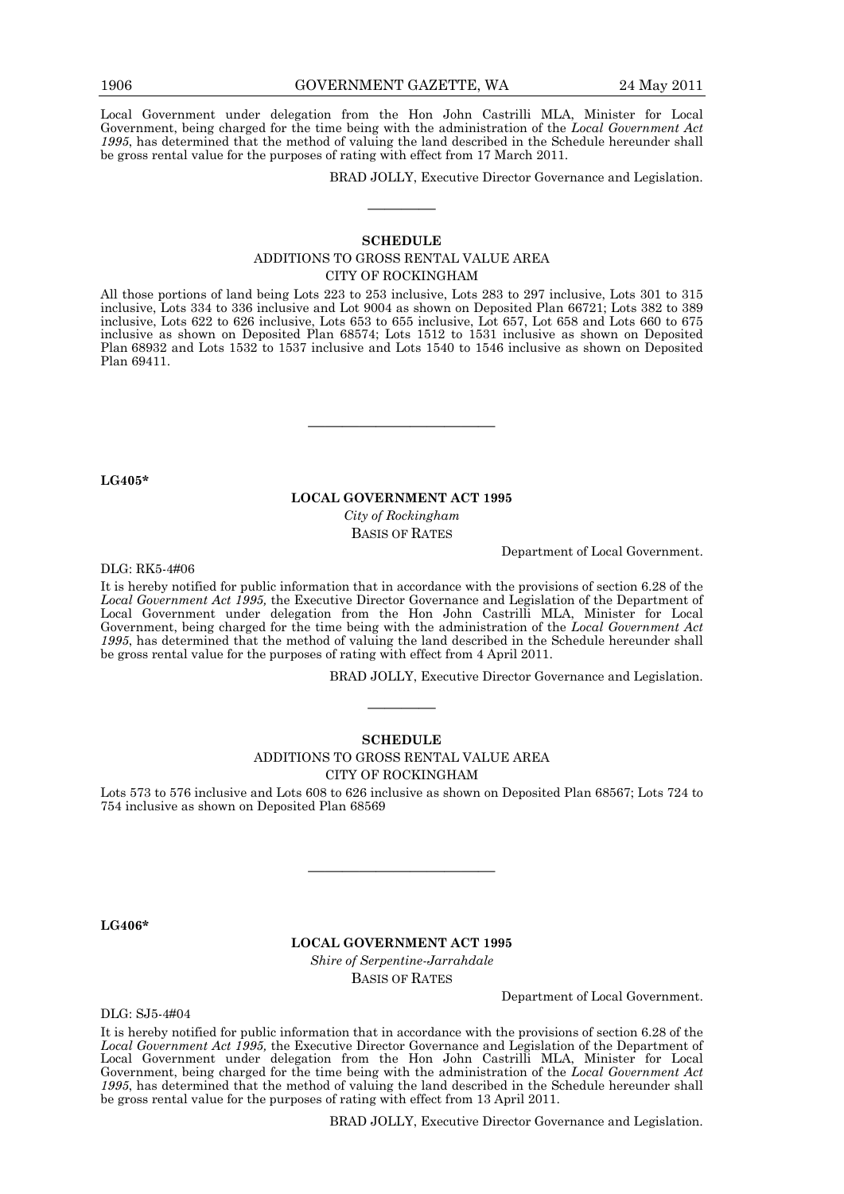Local Government under delegation from the Hon John Castrilli MLA, Minister for Local Government, being charged for the time being with the administration of the *Local Government Act 1995*, has determined that the method of valuing the land described in the Schedule hereunder shall be gross rental value for the purposes of rating with effect from 17 March 2011.

BRAD JOLLY, Executive Director Governance and Legislation.

### **SCHEDULE**

————

### ADDITIONS TO GROSS RENTAL VALUE AREA CITY OF ROCKINGHAM

All those portions of land being Lots 223 to 253 inclusive, Lots 283 to 297 inclusive, Lots 301 to 315 inclusive, Lots 334 to 336 inclusive and Lot 9004 as shown on Deposited Plan 66721; Lots 382 to 389 inclusive, Lots 622 to 626 inclusive, Lots 653 to 655 inclusive, Lot 657, Lot 658 and Lots 660 to 675 inclusive as shown on Deposited Plan 68574; Lots 1512 to 1531 inclusive as shown on Deposited Plan 68932 and Lots 1532 to 1537 inclusive and Lots 1540 to 1546 inclusive as shown on Deposited Plan 69411.

**LG405\*** 

#### **LOCAL GOVERNMENT ACT 1995**

———————————

*City of Rockingham*  BASIS OF RATES

Department of Local Government.

DLG: RK5-4#06

It is hereby notified for public information that in accordance with the provisions of section 6.28 of the *Local Government Act 1995,* the Executive Director Governance and Legislation of the Department of Local Government under delegation from the Hon John Castrilli MLA, Minister for Local Government, being charged for the time being with the administration of the *Local Government Act 1995*, has determined that the method of valuing the land described in the Schedule hereunder shall be gross rental value for the purposes of rating with effect from 4 April 2011.

BRAD JOLLY, Executive Director Governance and Legislation.

### **SCHEDULE**

————

### ADDITIONS TO GROSS RENTAL VALUE AREA CITY OF ROCKINGHAM

Lots 573 to 576 inclusive and Lots 608 to 626 inclusive as shown on Deposited Plan 68567; Lots 724 to 754 inclusive as shown on Deposited Plan 68569

———————————

**LG406\*** 

### **LOCAL GOVERNMENT ACT 1995**

*Shire of Serpentine-Jarrahdale*  BASIS OF RATES

DLG: SJ5-4#04

Department of Local Government.

It is hereby notified for public information that in accordance with the provisions of section 6.28 of the *Local Government Act 1995,* the Executive Director Governance and Legislation of the Department of Local Government under delegation from the Hon John Castrilli MLA, Minister for Local Government, being charged for the time being with the administration of the *Local Government Act 1995*, has determined that the method of valuing the land described in the Schedule hereunder shall be gross rental value for the purposes of rating with effect from 13 April 2011.

BRAD JOLLY, Executive Director Governance and Legislation.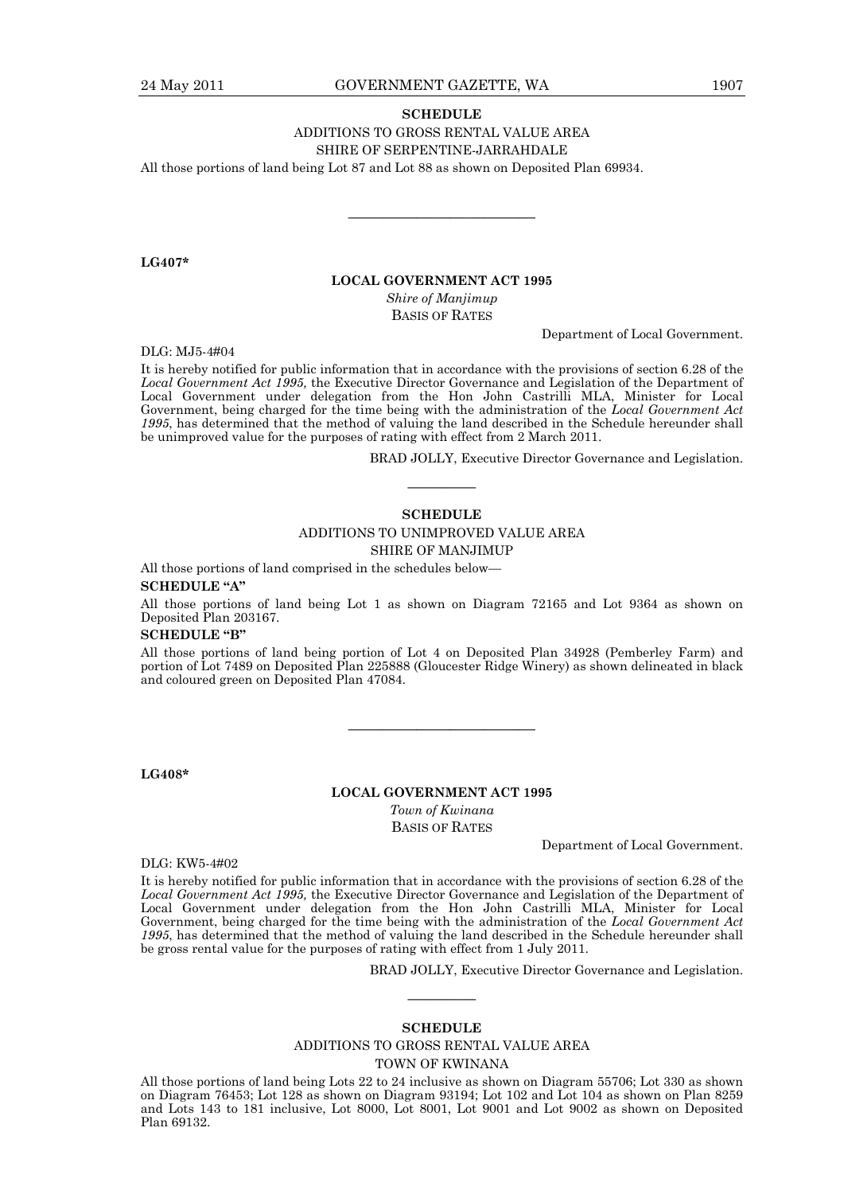#### **SCHEDULE**

### ADDITIONS TO GROSS RENTAL VALUE AREA

#### SHIRE OF SERPENTINE-JARRAHDALE

———————————

All those portions of land being Lot 87 and Lot 88 as shown on Deposited Plan 69934.

**LG407\*** 

### **LOCAL GOVERNMENT ACT 1995**

*Shire of Manjimup*  BASIS OF RATES

Department of Local Government.

DLG: MJ5-4#04

It is hereby notified for public information that in accordance with the provisions of section 6.28 of the *Local Government Act 1995,* the Executive Director Governance and Legislation of the Department of Local Government under delegation from the Hon John Castrilli MLA, Minister for Local Government, being charged for the time being with the administration of the *Local Government Act 1995*, has determined that the method of valuing the land described in the Schedule hereunder shall be unimproved value for the purposes of rating with effect from 2 March 2011.

BRAD JOLLY, Executive Director Governance and Legislation.

#### **SCHEDULE**

————

### ADDITIONS TO UNIMPROVED VALUE AREA SHIRE OF MANJIMUP

All those portions of land comprised in the schedules below—

#### **SCHEDULE "A"**

All those portions of land being Lot 1 as shown on Diagram 72165 and Lot 9364 as shown on Deposited Plan 203167.

#### **SCHEDULE "B"**

All those portions of land being portion of Lot 4 on Deposited Plan 34928 (Pemberley Farm) and portion of Lot 7489 on Deposited Plan 225888 (Gloucester Ridge Winery) as shown delineated in black and coloured green on Deposited Plan 47084.

———————————

**LG408\*** 

#### **LOCAL GOVERNMENT ACT 1995**

*Town of Kwinana*  BASIS OF RATES

Department of Local Government.

DLG: KW5-4#02

It is hereby notified for public information that in accordance with the provisions of section 6.28 of the *Local Government Act 1995,* the Executive Director Governance and Legislation of the Department of Local Government under delegation from the Hon John Castrilli MLA, Minister for Local Government, being charged for the time being with the administration of the *Local Government Act 1995*, has determined that the method of valuing the land described in the Schedule hereunder shall be gross rental value for the purposes of rating with effect from 1 July 2011.

BRAD JOLLY, Executive Director Governance and Legislation.

#### **SCHEDULE**

————

### ADDITIONS TO GROSS RENTAL VALUE AREA

TOWN OF KWINANA

All those portions of land being Lots 22 to 24 inclusive as shown on Diagram 55706; Lot 330 as shown on Diagram 76453; Lot 128 as shown on Diagram 93194; Lot 102 and Lot 104 as shown on Plan 8259 and Lots 143 to 181 inclusive, Lot 8000, Lot 8001, Lot 9001 and Lot 9002 as shown on Deposited Plan 69132.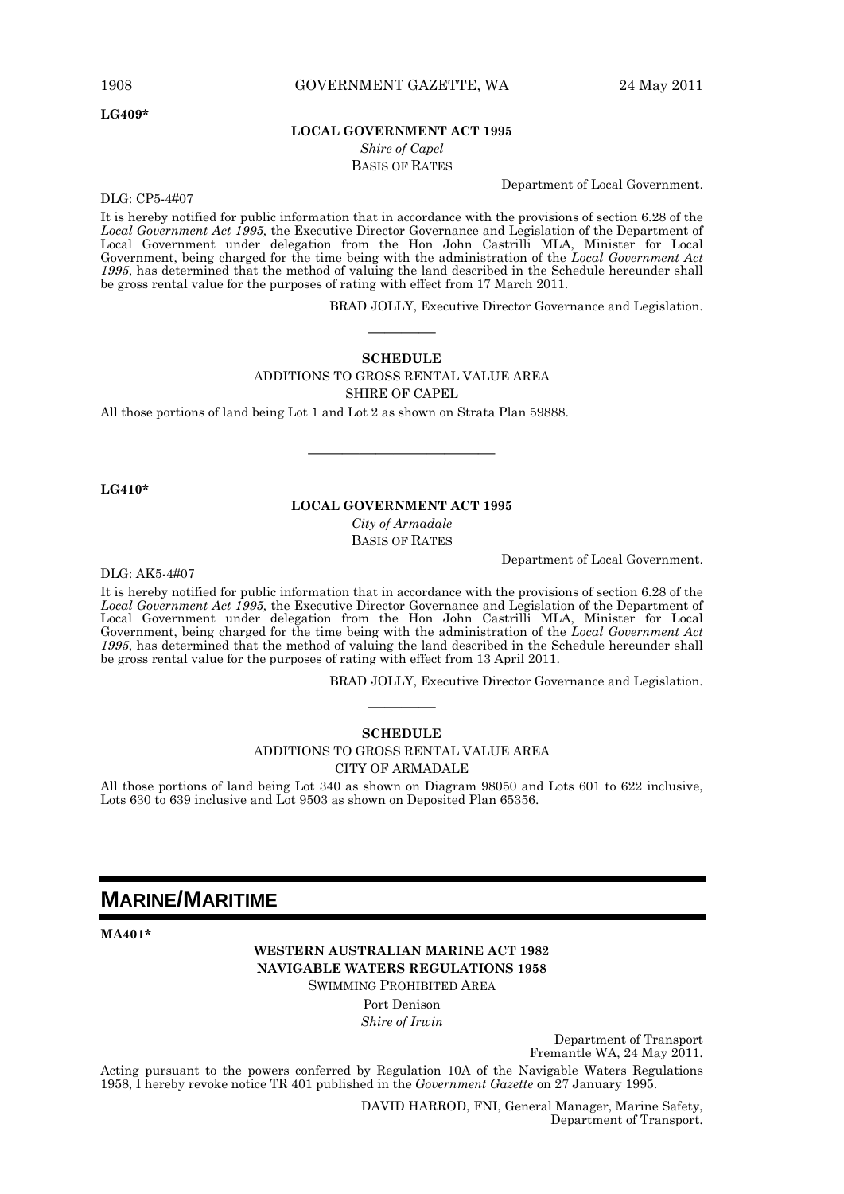#### **LG409\***

### **LOCAL GOVERNMENT ACT 1995**  *Shire of Capel*

BASIS OF RATES

Department of Local Government.

DLG: CP5-4#07

It is hereby notified for public information that in accordance with the provisions of section 6.28 of the *Local Government Act 1995,* the Executive Director Governance and Legislation of the Department of Local Government under delegation from the Hon John Castrilli MLA, Minister for Local Government, being charged for the time being with the administration of the *Local Government Act 1995*, has determined that the method of valuing the land described in the Schedule hereunder shall be gross rental value for the purposes of rating with effect from 17 March 2011.

BRAD JOLLY, Executive Director Governance and Legislation.

### **SCHEDULE**  ADDITIONS TO GROSS RENTAL VALUE AREA SHIRE OF CAPEL

————

All those portions of land being Lot 1 and Lot 2 as shown on Strata Plan 59888.

### **LG410\***

### **LOCAL GOVERNMENT ACT 1995**

———————————

*City of Armadale*  BASIS OF RATES

Department of Local Government.

DLG: AK5-4#07

It is hereby notified for public information that in accordance with the provisions of section 6.28 of the *Local Government Act 1995,* the Executive Director Governance and Legislation of the Department of Local Government under delegation from the Hon John Castrilli MLA, Minister for Local Government, being charged for the time being with the administration of the *Local Government Act 1995*, has determined that the method of valuing the land described in the Schedule hereunder shall be gross rental value for the purposes of rating with effect from 13 April 2011.

BRAD JOLLY, Executive Director Governance and Legislation.

# ———— **SCHEDULE**

ADDITIONS TO GROSS RENTAL VALUE AREA

CITY OF ARMADALE

All those portions of land being Lot 340 as shown on Diagram 98050 and Lots 601 to 622 inclusive, Lots 630 to 639 inclusive and Lot 9503 as shown on Deposited Plan 65356.

# **MARINE/MARITIME**

**MA401\*** 

### **WESTERN AUSTRALIAN MARINE ACT 1982 NAVIGABLE WATERS REGULATIONS 1958**  SWIMMING PROHIBITED AREA

Port Denison *Shire of Irwin* 

Department of Transport

Fremantle WA, 24 May 2011.

Acting pursuant to the powers conferred by Regulation 10A of the Navigable Waters Regulations 1958, I hereby revoke notice TR 401 published in the *Government Gazette* on 27 January 1995.

> DAVID HARROD, FNI, General Manager, Marine Safety, Department of Transport.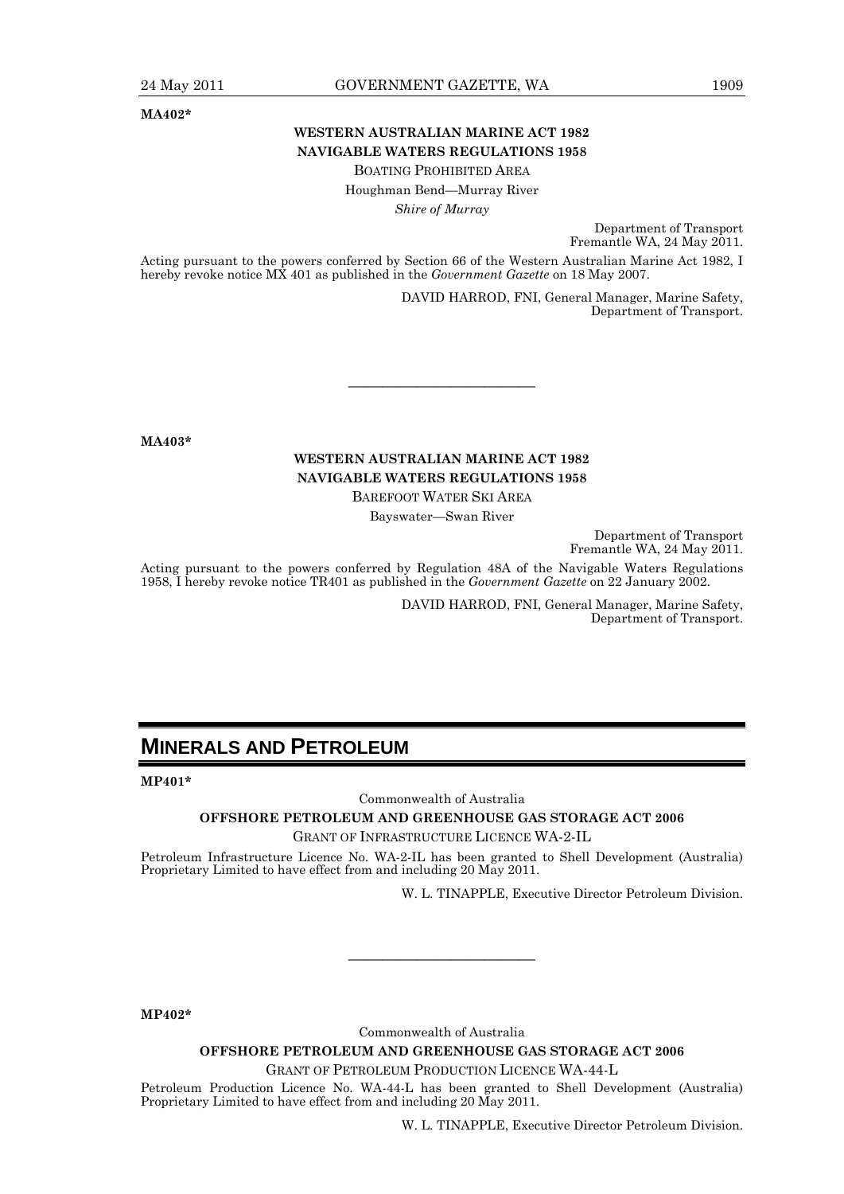**MA402\*** 

# **WESTERN AUSTRALIAN MARINE ACT 1982 NAVIGABLE WATERS REGULATIONS 1958**

BOATING PROHIBITED AREA

Houghman Bend—Murray River

*Shire of Murray* 

Department of Transport Fremantle WA, 24 May 2011.

Acting pursuant to the powers conferred by Section 66 of the Western Australian Marine Act 1982, I hereby revoke notice MX 401 as published in the *Government Gazette* on 18 May 2007.

> DAVID HARROD, FNI, General Manager, Marine Safety, Department of Transport.

**MA403\*** 

# **WESTERN AUSTRALIAN MARINE ACT 1982 NAVIGABLE WATERS REGULATIONS 1958**

———————————

BAREFOOT WATER SKI AREA

Bayswater—Swan River

Department of Transport Fremantle WA, 24 May 2011.

Acting pursuant to the powers conferred by Regulation 48A of the Navigable Waters Regulations 1958, I hereby revoke notice TR401 as published in the *Government Gazette* on 22 January 2002.

> DAVID HARROD, FNI, General Manager, Marine Safety, Department of Transport.

# **MINERALS AND PETROLEUM**

**MP401\*** 

Commonwealth of Australia

**OFFSHORE PETROLEUM AND GREENHOUSE GAS STORAGE ACT 2006** 

GRANT OF INFRASTRUCTURE LICENCE WA-2-IL

Petroleum Infrastructure Licence No. WA-2-IL has been granted to Shell Development (Australia) Proprietary Limited to have effect from and including 20 May 2011.

W. L. TINAPPLE, Executive Director Petroleum Division.

**MP402\*** 

Commonwealth of Australia

———————————

**OFFSHORE PETROLEUM AND GREENHOUSE GAS STORAGE ACT 2006** 

GRANT OF PETROLEUM PRODUCTION LICENCE WA-44-L

Petroleum Production Licence No. WA-44-L has been granted to Shell Development (Australia) Proprietary Limited to have effect from and including 20 May 2011.

W. L. TINAPPLE, Executive Director Petroleum Division.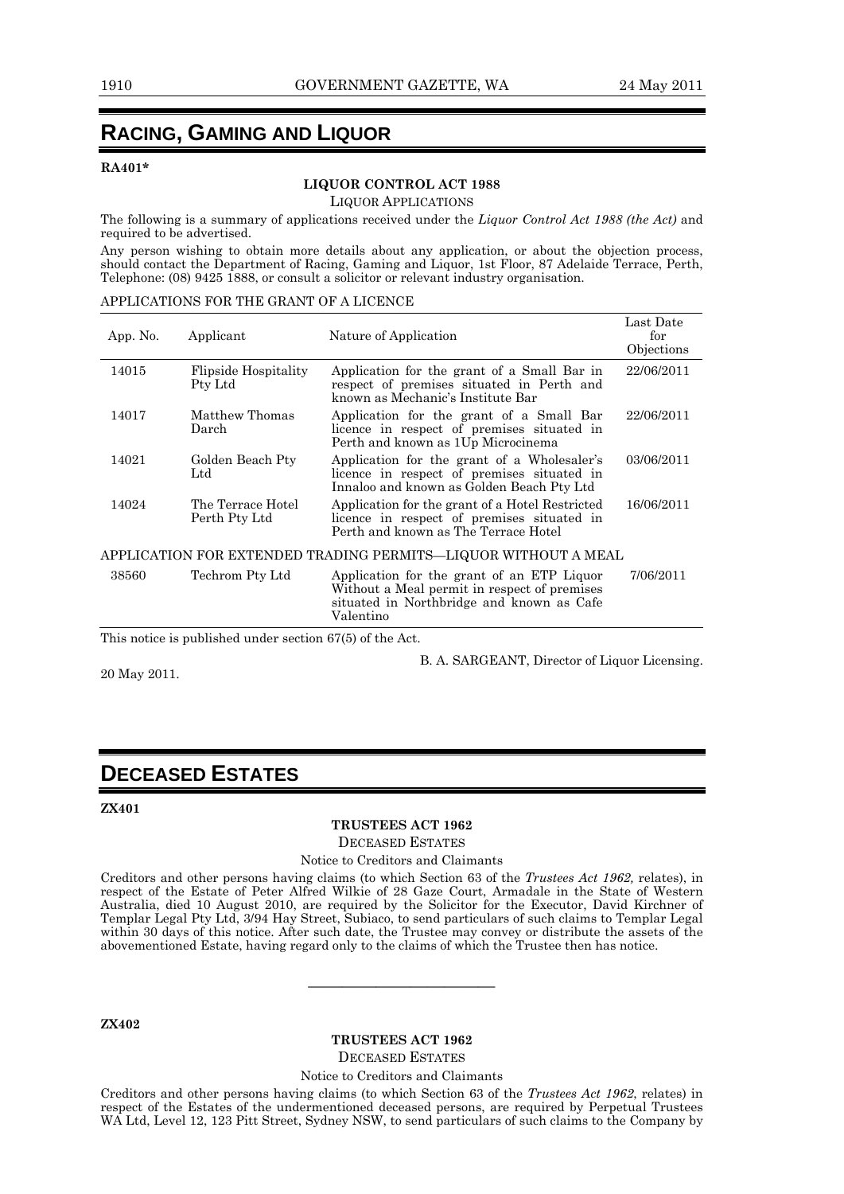# **RACING, GAMING AND LIQUOR**

### **RA401\***

### **LIQUOR CONTROL ACT 1988**

LIQUOR APPLICATIONS

The following is a summary of applications received under the *Liquor Control Act 1988 (the Act)* and required to be advertised.

Any person wishing to obtain more details about any application, or about the objection process, should contact the Department of Racing, Gaming and Liquor, 1st Floor, 87 Adelaide Terrace, Perth, Telephone: (08) 9425 1888, or consult a solicitor or relevant industry organisation.

### APPLICATIONS FOR THE GRANT OF A LICENCE

| App. No.                                                       | Applicant                          | Nature of Application                                                                                                                                | Last Date<br>for<br>Objections |  |
|----------------------------------------------------------------|------------------------------------|------------------------------------------------------------------------------------------------------------------------------------------------------|--------------------------------|--|
| 14015                                                          | Flipside Hospitality<br>Pty Ltd    | Application for the grant of a Small Bar in<br>respect of premises situated in Perth and<br>known as Mechanic's Institute Bar                        | 22/06/2011                     |  |
| 14017                                                          | Matthew Thomas<br>Darch            | Application for the grant of a Small Bar<br>licence in respect of premises situated in<br>Perth and known as 1Up Microcinema                         | 22/06/2011                     |  |
| 14021                                                          | Golden Beach Pty<br>$_{\rm Ltd}$   | Application for the grant of a Wholesaler's<br>licence in respect of premises situated in<br>Innaloo and known as Golden Beach Pty Ltd               | 03/06/2011                     |  |
| 14024                                                          | The Terrace Hotel<br>Perth Pty Ltd | Application for the grant of a Hotel Restricted<br>licence in respect of premises situated in<br>Perth and known as The Terrace Hotel                | 16/06/2011                     |  |
| APPLICATION FOR EXTENDED TRADING PERMITS-LIQUOR WITHOUT A MEAL |                                    |                                                                                                                                                      |                                |  |
| 38560                                                          | Techrom Pty Ltd                    | Application for the grant of an ETP Liquor<br>Without a Meal permit in respect of premises<br>situated in Northbridge and known as Cafe<br>Valentino | 7/06/2011                      |  |

This notice is published under section 67(5) of the Act.

20 May 2011.

B. A. SARGEANT, Director of Liquor Licensing.

# **DECEASED ESTATES**

### **ZX401**

### **TRUSTEES ACT 1962**

DECEASED ESTATES

### Notice to Creditors and Claimants

Creditors and other persons having claims (to which Section 63 of the *Trustees Act 1962,* relates), in respect of the Estate of Peter Alfred Wilkie of 28 Gaze Court, Armadale in the State of Western Australia, died 10 August 2010, are required by the Solicitor for the Executor, David Kirchner of Templar Legal Pty Ltd, 3/94 Hay Street, Subiaco, to send particulars of such claims to Templar Legal within 30 days of this notice. After such date, the Trustee may convey or distribute the assets of the abovementioned Estate, having regard only to the claims of which the Trustee then has notice.

**ZX402** 

### **TRUSTEES ACT 1962**  DECEASED ESTATES

———————————

Notice to Creditors and Claimants

Creditors and other persons having claims (to which Section 63 of the *Trustees Act 1962*, relates) in respect of the Estates of the undermentioned deceased persons, are required by Perpetual Trustees WA Ltd, Level 12, 123 Pitt Street, Sydney NSW, to send particulars of such claims to the Company by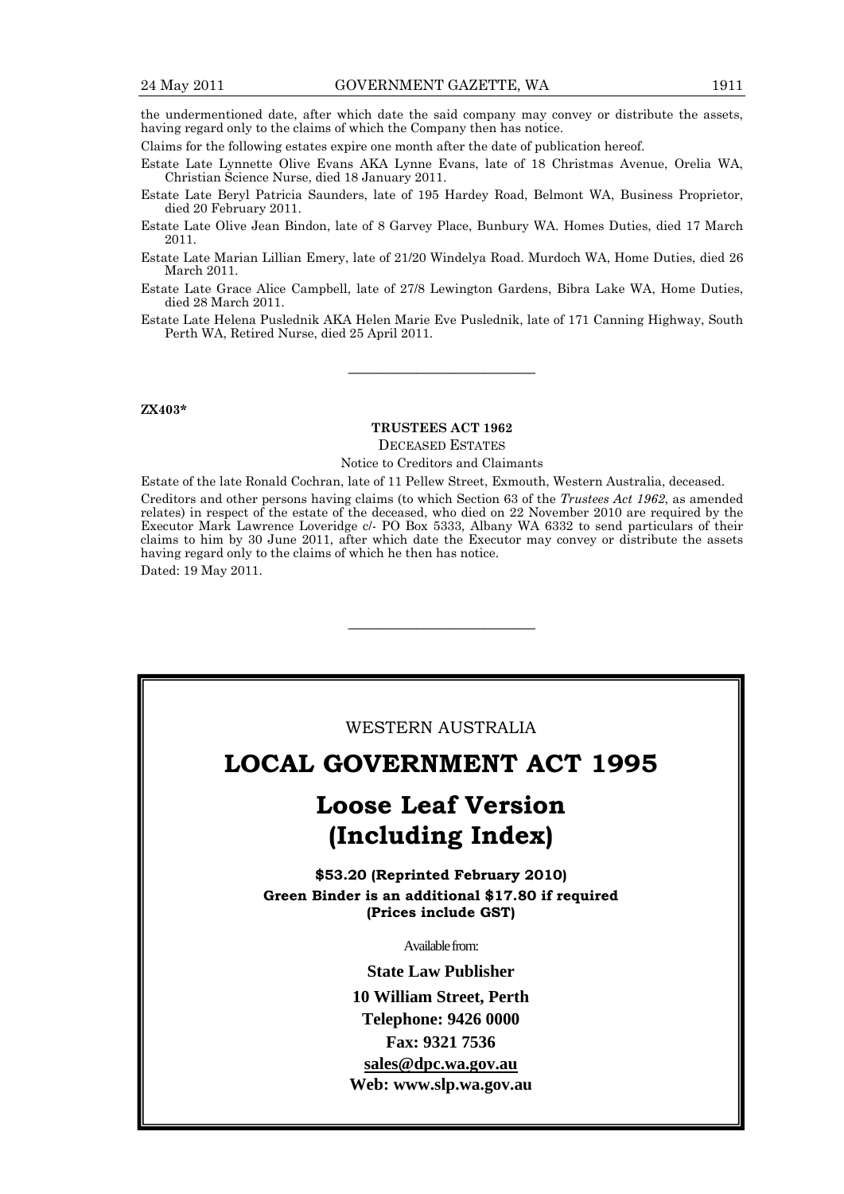the undermentioned date, after which date the said company may convey or distribute the assets, having regard only to the claims of which the Company then has notice.

Claims for the following estates expire one month after the date of publication hereof.

Estate Late Lynnette Olive Evans AKA Lynne Evans, late of 18 Christmas Avenue, Orelia WA, Christian Science Nurse, died 18 January 2011.

Estate Late Beryl Patricia Saunders, late of 195 Hardey Road, Belmont WA, Business Proprietor, died 20 February 2011.

Estate Late Olive Jean Bindon, late of 8 Garvey Place, Bunbury WA. Homes Duties, died 17 March 2011.

Estate Late Marian Lillian Emery, late of 21/20 Windelya Road. Murdoch WA, Home Duties, died 26 March 2011.

Estate Late Grace Alice Campbell, late of 27/8 Lewington Gardens, Bibra Lake WA, Home Duties, died 28 March 2011.

Estate Late Helena Puslednik AKA Helen Marie Eve Puslednik, late of 171 Canning Highway, South Perth WA, Retired Nurse, died 25 April 2011.

———————————

### **ZX403\***

### **TRUSTEES ACT 1962**  DECEASED ESTATES

### Notice to Creditors and Claimants

Estate of the late Ronald Cochran, late of 11 Pellew Street, Exmouth, Western Australia, deceased. Creditors and other persons having claims (to which Section 63 of the *Trustees Act 1962*, as amended relates) in respect of the estate of the deceased, who died on 22 November 2010 are required by the Executor Mark Lawrence Loveridge c/- PO Box 5333, Albany WA 6332 to send particulars of their claims to him by 30 June 2011, after which date the Executor may convey or distribute the assets having regard only to the claims of which he then has notice.

———————————

Dated: 19 May 2011.

### WESTERN AUSTRALIA

# **LOCAL GOVERNMENT ACT 1995**

# **Loose Leaf Version (Including Index)**

**\$53.20 (Reprinted February 2010) Green Binder is an additional \$17.80 if required (Prices include GST)**

Available from:

**State Law Publisher 10 William Street, Perth Telephone: 9426 0000 Fax: 9321 7536 sales@dpc.wa.gov.au Web: www.slp.wa.gov.au**